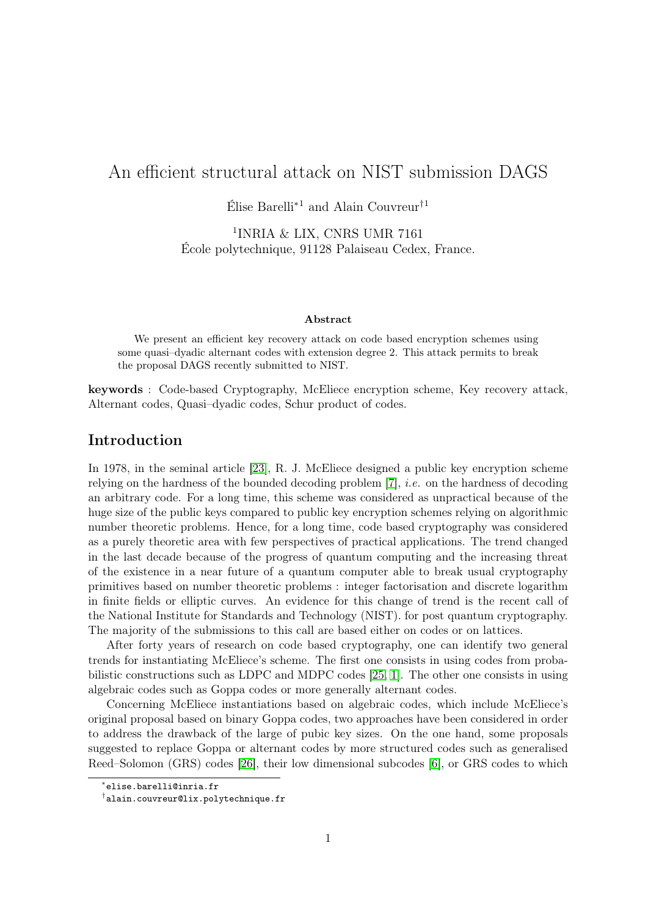# An efficient structural attack on NIST submission DAGS

Élise Barelli<sup>\*1</sup> and Alain Couvreur<sup>†1</sup>

1 INRIA & LIX, CNRS UMR 7161 École polytechnique, 91128 Palaiseau Cedex, France.

#### Abstract

We present an efficient key recovery attack on code based encryption schemes using some quasi–dyadic alternant codes with extension degree 2. This attack permits to break the proposal DAGS recently submitted to NIST.

keywords : Code-based Cryptography, McEliece encryption scheme, Key recovery attack, Alternant codes, Quasi–dyadic codes, Schur product of codes.

# Introduction

In 1978, in the seminal article [\[23\]](#page-24-0), R. J. McEliece designed a public key encryption scheme relying on the hardness of the bounded decoding problem  $[7]$ , *i.e.* on the hardness of decoding an arbitrary code. For a long time, this scheme was considered as unpractical because of the huge size of the public keys compared to public key encryption schemes relying on algorithmic number theoretic problems. Hence, for a long time, code based cryptography was considered as a purely theoretic area with few perspectives of practical applications. The trend changed in the last decade because of the progress of quantum computing and the increasing threat of the existence in a near future of a quantum computer able to break usual cryptography primitives based on number theoretic problems : integer factorisation and discrete logarithm in finite fields or elliptic curves. An evidence for this change of trend is the recent call of the National Institute for Standards and Technology (NIST). for post quantum cryptography. The majority of the submissions to this call are based either on codes or on lattices.

After forty years of research on code based cryptography, one can identify two general trends for instantiating McEliece's scheme. The first one consists in using codes from probabilistic constructions such as LDPC and MDPC codes [\[25,](#page-24-1) [1\]](#page-22-0). The other one consists in using algebraic codes such as Goppa codes or more generally alternant codes.

Concerning McEliece instantiations based on algebraic codes, which include McEliece's original proposal based on binary Goppa codes, two approaches have been considered in order to address the drawback of the large of pubic key sizes. On the one hand, some proposals suggested to replace Goppa or alternant codes by more structured codes such as generalised Reed–Solomon (GRS) codes [\[26\]](#page-24-2), their low dimensional subcodes [\[6\]](#page-23-1), or GRS codes to which

<sup>∗</sup> elise.barelli@inria.fr

<sup>†</sup> alain.couvreur@lix.polytechnique.fr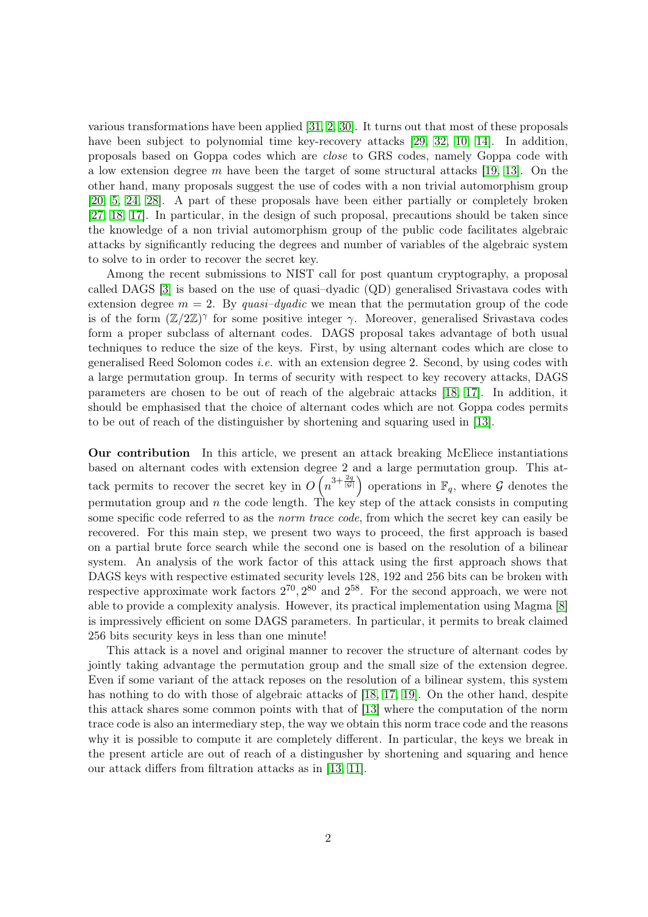various transformations have been applied [\[31,](#page-24-3) [2,](#page-22-1) [30\]](#page-24-4). It turns out that most of these proposals have been subject to polynomial time key-recovery attacks [\[29,](#page-24-5) [32,](#page-25-0) [10,](#page-23-2) [14\]](#page-23-3). In addition, proposals based on Goppa codes which are close to GRS codes, namely Goppa code with a low extension degree m have been the target of some structural attacks [\[19,](#page-24-6) [13\]](#page-23-4). On the other hand, many proposals suggest the use of codes with a non trivial automorphism group [\[20,](#page-24-7) [5,](#page-23-5) [24,](#page-24-8) [28\]](#page-24-9). A part of these proposals have been either partially or completely broken [\[27,](#page-24-10) [18,](#page-24-11) [17\]](#page-23-6). In particular, in the design of such proposal, precautions should be taken since the knowledge of a non trivial automorphism group of the public code facilitates algebraic attacks by significantly reducing the degrees and number of variables of the algebraic system to solve to in order to recover the secret key.

Among the recent submissions to NIST call for post quantum cryptography, a proposal called DAGS [\[3\]](#page-22-2) is based on the use of quasi–dyadic (QD) generalised Srivastava codes with extension degree  $m = 2$ . By quasi-dyadic we mean that the permutation group of the code is of the form  $(\mathbb{Z}/2\mathbb{Z})^{\gamma}$  for some positive integer  $\gamma$ . Moreover, generalised Srivastava codes form a proper subclass of alternant codes. DAGS proposal takes advantage of both usual techniques to reduce the size of the keys. First, by using alternant codes which are close to generalised Reed Solomon codes *i.e.* with an extension degree 2. Second, by using codes with a large permutation group. In terms of security with respect to key recovery attacks, DAGS parameters are chosen to be out of reach of the algebraic attacks [\[18,](#page-24-11) [17\]](#page-23-6). In addition, it should be emphasised that the choice of alternant codes which are not Goppa codes permits to be out of reach of the distinguisher by shortening and squaring used in [\[13\]](#page-23-4).

Our contribution In this article, we present an attack breaking McEliece instantiations based on alternant codes with extension degree 2 and a large permutation group. This attack permits to recover the secret key in  $O(n^{3+\frac{2q}{|G|}})$  operations in  $\mathbb{F}_q$ , where G denotes the permutation group and  $n$  the code length. The key step of the attack consists in computing some specific code referred to as the *norm trace code*, from which the secret key can easily be recovered. For this main step, we present two ways to proceed, the first approach is based on a partial brute force search while the second one is based on the resolution of a bilinear system. An analysis of the work factor of this attack using the first approach shows that DAGS keys with respective estimated security levels 128, 192 and 256 bits can be broken with respective approximate work factors  $2^{70}$ ,  $2^{80}$  and  $2^{58}$ . For the second approach, we were not able to provide a complexity analysis. However, its practical implementation using Magma [\[8\]](#page-23-7) is impressively efficient on some DAGS parameters. In particular, it permits to break claimed 256 bits security keys in less than one minute!

This attack is a novel and original manner to recover the structure of alternant codes by jointly taking advantage the permutation group and the small size of the extension degree. Even if some variant of the attack reposes on the resolution of a bilinear system, this system has nothing to do with those of algebraic attacks of [\[18,](#page-24-11) [17,](#page-23-6) [19\]](#page-24-6). On the other hand, despite this attack shares some common points with that of [\[13\]](#page-23-4) where the computation of the norm trace code is also an intermediary step, the way we obtain this norm trace code and the reasons why it is possible to compute it are completely different. In particular, the keys we break in the present article are out of reach of a distingusher by shortening and squaring and hence our attack differs from filtration attacks as in [\[13,](#page-23-4) [11\]](#page-23-8).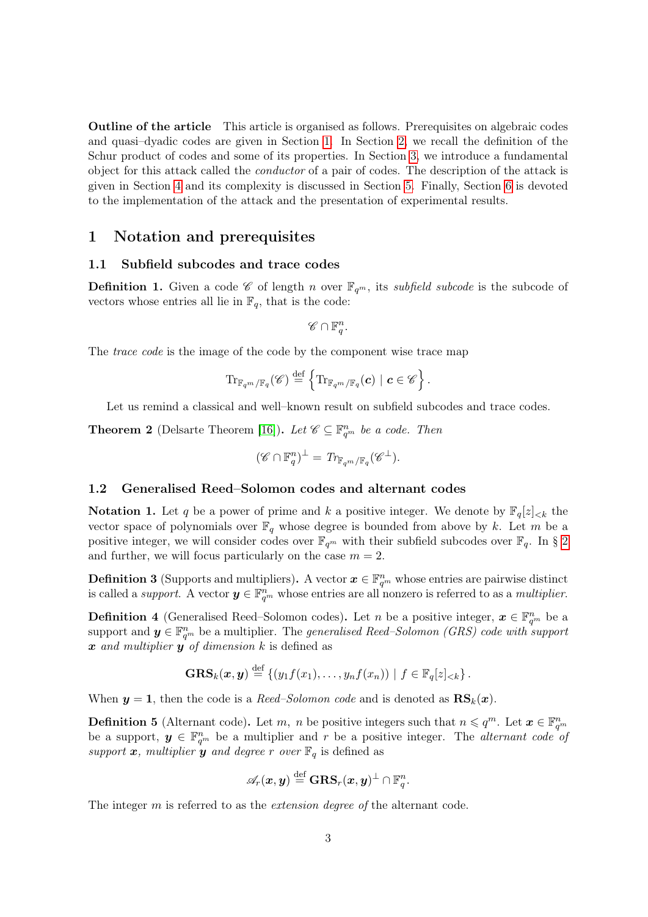Outline of the article This article is organised as follows. Prerequisites on algebraic codes and quasi–dyadic codes are given in Section [1.](#page-2-0) In Section [2,](#page-8-0) we recall the definition of the Schur product of codes and some of its properties. In Section [3,](#page-9-0) we introduce a fundamental object for this attack called the conductor of a pair of codes. The description of the attack is given in Section [4](#page-12-0) and its complexity is discussed in Section [5.](#page-19-0) Finally, Section [6](#page-22-3) is devoted to the implementation of the attack and the presentation of experimental results.

# <span id="page-2-0"></span>1 Notation and prerequisites

#### 1.1 Subfield subcodes and trace codes

**Definition 1.** Given a code  $\mathscr{C}$  of length n over  $\mathbb{F}_{q^m}$ , its subfield subcode is the subcode of vectors whose entries all lie in  $\mathbb{F}_q$ , that is the code:

$$
\mathscr{C} \cap \mathbb{F}_q^n.
$$

The *trace code* is the image of the code by the component wise trace map

$$
\mathrm{Tr}_{\mathbb{F}_{q^m}/\mathbb{F}_q}(\mathscr{C})\stackrel{\mathrm{def}}{=}\left\{\mathrm{Tr}_{\mathbb{F}_{q^m}/\mathbb{F}_q}(\boldsymbol{c})\mid \boldsymbol{c}\in\mathscr{C}\right\}.
$$

Let us remind a classical and well–known result on subfield subcodes and trace codes.

<span id="page-2-2"></span>**Theorem 2** (Delsarte Theorem [\[16\]](#page-23-9)). Let  $\mathscr{C} \subseteq \mathbb{F}_{q^m}^n$  be a code. Then

$$
(\mathscr{C} \cap \mathbb{F}_q^n)^{\perp} = \text{Tr}_{\mathbb{F}_{q^m}/\mathbb{F}_q}(\mathscr{C}^{\perp}).
$$

#### 1.2 Generalised Reed–Solomon codes and alternant codes

**Notation 1.** Let q be a power of prime and k a positive integer. We denote by  $\mathbb{F}_q[z]_{< k}$  the vector space of polynomials over  $\mathbb{F}_q$  whose degree is bounded from above by k. Let m be a positive integer, we will consider codes over  $\mathbb{F}_{q^m}$  with their subfield subcodes over  $\mathbb{F}_q$ . In § [2](#page-8-0) and further, we will focus particularly on the case  $m = 2$ .

**Definition 3** (Supports and multipliers). A vector  $x \in \mathbb{F}_{q^m}^n$  whose entries are pairwise distinct is called a *support*. A vector  $y \in \mathbb{F}_{q^m}^n$  whose entries are all nonzero is referred to as a *multiplier*.

**Definition 4** (Generalised Reed–Solomon codes). Let n be a positive integer,  $x \in \mathbb{F}_{q^m}^n$  be a support and  $y \in \mathbb{F}_{q^m}^n$  be a multiplier. The *generalised Reed–Solomon (GRS) code with support* x and multiplier  $y$  of dimension  $k$  is defined as

$$
\mathbf{GRS}_k(\boldsymbol{x},\boldsymbol{y}) \stackrel{\text{def}}{=} \left\{ (y_1f(x_1),\ldots,y_nf(x_n)) \mid f \in \mathbb{F}_q[z]_{< k} \right\}.
$$

When  $y = 1$ , then the code is a *Reed–Solomon code* and is denoted as  $\mathbf{RS}_k(x)$ .

<span id="page-2-1"></span>**Definition 5** (Alternant code). Let m, n be positive integers such that  $n \leq q^m$ . Let  $\boldsymbol{x} \in \mathbb{F}_{q^m}^n$ be a support,  $y \in \mathbb{F}_{q^m}^n$  be a multiplier and r be a positive integer. The *alternant code* of support  $x$ , multiplier  $y$  and degree r over  $\mathbb{F}_q$  is defined as

$$
\mathscr{A}_r(\boldsymbol{x},\boldsymbol{y})\stackrel{\text{def}}{=}\mathbf{GRS}_r(\boldsymbol{x},\boldsymbol{y})^\perp\cap \mathbb{F}_q^n.
$$

The integer m is referred to as the *extension degree of* the alternant code.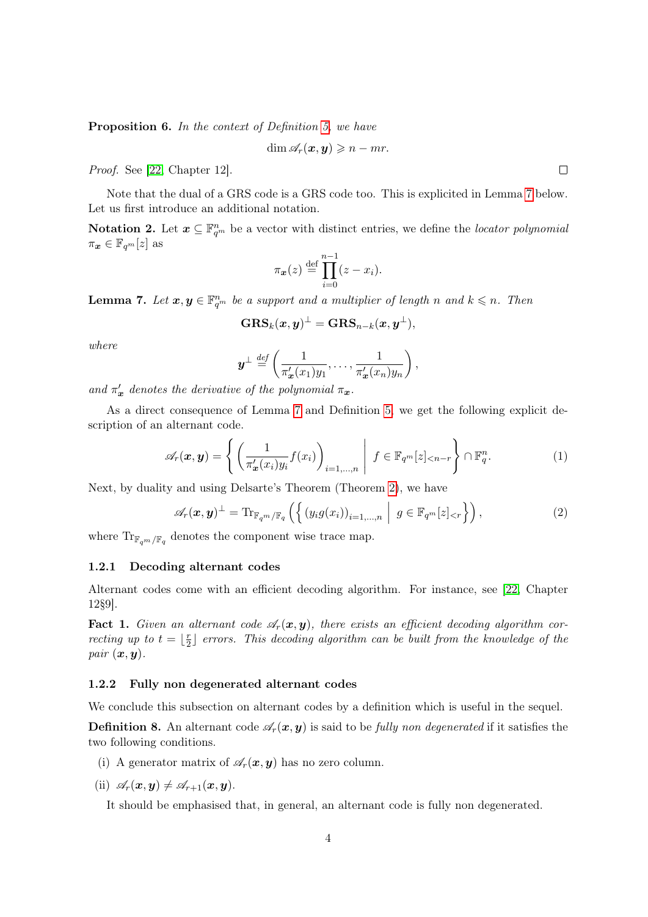<span id="page-3-3"></span>Proposition 6. In the context of Definition [5,](#page-2-1) we have

$$
\dim \mathscr{A}_r(\boldsymbol{x},\boldsymbol{y}) \geqslant n - mr.
$$

Proof. See [\[22,](#page-24-12) Chapter 12].

Note that the dual of a GRS code is a GRS code too. This is explicited in Lemma [7](#page-3-0) below. Let us first introduce an additional notation.

**Notation 2.** Let  $\boldsymbol{x} \subseteq \mathbb{F}_{q^m}^n$  be a vector with distinct entries, we define the *locator polynomial*  $\pi_{\bm{x}} \in \mathbb{F}_{q^m}[z]$  as

$$
\pi_{\boldsymbol{x}}(z) \stackrel{\text{def}}{=} \prod_{i=0}^{n-1} (z - x_i).
$$

<span id="page-3-0"></span>**Lemma 7.** Let  $x, y \in \mathbb{F}_{q^m}^n$  be a support and a multiplier of length n and  $k \leq n$ . Then

$$
\mathbf{GRS}_k(\boldsymbol{x}, \boldsymbol{y})^\perp = \mathbf{GRS}_{n-k}(\boldsymbol{x}, \boldsymbol{y}^\perp),
$$

where

$$
\boldsymbol{y}^{\perp} \stackrel{\text{def}}{=} \left( \frac{1}{\pi'_{\boldsymbol{x}}(x_1)y_1}, \ldots, \frac{1}{\pi'_{\boldsymbol{x}}(x_n)y_n} \right),
$$

and  $\pi'_x$  denotes the derivative of the polynomial  $\pi_x$ .

As a direct consequence of Lemma [7](#page-3-0) and Definition [5,](#page-2-1) we get the following explicit description of an alternant code.

<span id="page-3-2"></span>
$$
\mathscr{A}_r(\boldsymbol{x},\boldsymbol{y}) = \left\{ \left( \frac{1}{\pi'_{\boldsymbol{x}}(x_i)y_i} f(x_i) \right)_{i=1,\dots,n} \middle| f \in \mathbb{F}_{q^m}[z]_{\leq n-r} \right\} \cap \mathbb{F}_{q}^n.
$$
 (1)

Next, by duality and using Delsarte's Theorem (Theorem [2\)](#page-2-2), we have

<span id="page-3-1"></span>
$$
\mathscr{A}_r(\boldsymbol{x},\boldsymbol{y})^{\perp} = \mathrm{Tr}_{\mathbb{F}_{q^m}/\mathbb{F}_q} \left( \left\{ \left( y_i g(x_i) \right)_{i=1,\dots,n} \middle| g \in \mathbb{F}_{q^m}[z]_{< r} \right\} \right),\tag{2}
$$

where  $\text{Tr}_{\mathbb{F}_{q^m}/\mathbb{F}_q}$  denotes the component wise trace map.

#### 1.2.1 Decoding alternant codes

Alternant codes come with an efficient decoding algorithm. For instance, see [\[22,](#page-24-12) Chapter 12§9].

**Fact 1.** Given an alternant code  $\mathscr{A}_r(x, y)$ , there exists an efficient decoding algorithm correcting up to  $t = \frac{r}{2}$  $\frac{r}{2}$ ] errors. This decoding algorithm can be built from the knowledge of the pair  $(x, y)$ .

### 1.2.2 Fully non degenerated alternant codes

We conclude this subsection on alternant codes by a definition which is useful in the sequel.

<span id="page-3-4"></span>**Definition 8.** An alternant code  $\mathscr{A}_r(\mathbf{x}, \mathbf{y})$  is said to be fully non degenerated if it satisfies the two following conditions.

(i) A generator matrix of  $\mathscr{A}_r(\boldsymbol{x}, \boldsymbol{y})$  has no zero column.

(ii)  $\mathscr{A}_r(\boldsymbol{x}, \boldsymbol{y}) \neq \mathscr{A}_{r+1}(\boldsymbol{x}, \boldsymbol{y}).$ 

It should be emphasised that, in general, an alternant code is fully non degenerated.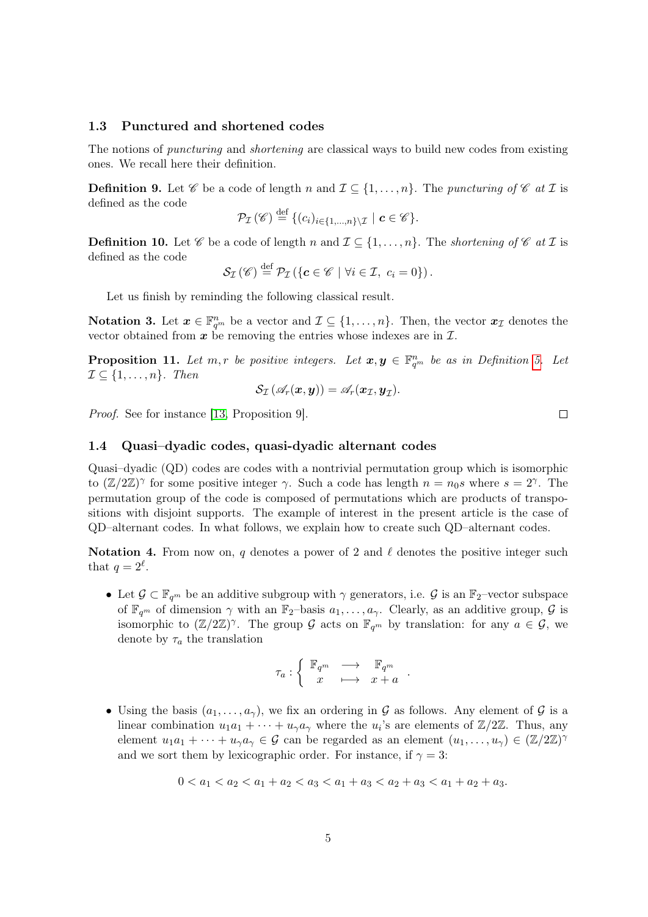### 1.3 Punctured and shortened codes

The notions of *puncturing* and *shortening* are classical ways to build new codes from existing ones. We recall here their definition.

**Definition 9.** Let  $\mathscr C$  be a code of length n and  $\mathcal I \subseteq \{1,\ldots,n\}$ . The puncturing of  $\mathscr C$  at  $\mathcal I$  is defined as the code

$$
\mathcal{P}_{\mathcal{I}}(\mathscr{C}) \stackrel{\text{def}}{=} \{ (c_i)_{i \in \{1, \ldots, n\} \setminus \mathcal{I}} \mid c \in \mathscr{C} \}.
$$

**Definition 10.** Let  $\mathscr C$  be a code of length n and  $\mathcal I \subseteq \{1,\ldots,n\}$ . The shortening of  $\mathscr C$  at  $\mathcal I$  is defined as the code

$$
\mathcal{S}_{\mathcal{I}}(\mathscr{C}) \stackrel{\text{def}}{=} \mathcal{P}_{\mathcal{I}}\left(\left\{ \boldsymbol{c} \in \mathscr{C} \mid \forall i \in \mathcal{I}, \ c_i = 0 \right\} \right).
$$

Let us finish by reminding the following classical result.

**Notation 3.** Let  $\mathbf{x} \in \mathbb{F}_{q^m}^n$  be a vector and  $\mathcal{I} \subseteq \{1, \ldots, n\}$ . Then, the vector  $\mathbf{x}_{\mathcal{I}}$  denotes the vector obtained from  $x$  be removing the entries whose indexes are in  $\mathcal{I}$ .

**Proposition 11.** Let  $m, r$  be positive integers. Let  $x, y \in \mathbb{F}_{q^m}^n$  be as in Definition [5.](#page-2-1) Let  $\mathcal{I} \subseteq \{1, \ldots, n\}$ . Then

$$
\mathcal{S}_{\mathcal{I}}\left(\mathscr{A}_r(\boldsymbol{x}, \boldsymbol{y})\right) = \mathscr{A}_r(\boldsymbol{x}_{\mathcal{I}}, \boldsymbol{y}_{\mathcal{I}}).
$$

Proof. See for instance [\[13,](#page-23-4) Proposition 9].

### 1.4 Quasi–dyadic codes, quasi-dyadic alternant codes

Quasi–dyadic (QD) codes are codes with a nontrivial permutation group which is isomorphic to  $(\mathbb{Z}/2\mathbb{Z})^{\gamma}$  for some positive integer  $\gamma$ . Such a code has length  $n = n_0 s$  where  $s = 2^{\gamma}$ . The permutation group of the code is composed of permutations which are products of transpositions with disjoint supports. The example of interest in the present article is the case of QD–alternant codes. In what follows, we explain how to create such QD–alternant codes.

Notation 4. From now on, q denotes a power of 2 and  $\ell$  denotes the positive integer such that  $q=2^{\ell}$ .

• Let  $\mathcal{G} \subset \mathbb{F}_{q^m}$  be an additive subgroup with  $\gamma$  generators, i.e.  $\mathcal{G}$  is an  $\mathbb{F}_2$ –vector subspace of  $\mathbb{F}_{q^m}$  of dimension  $\gamma$  with an  $\mathbb{F}_2$ -basis  $a_1, \ldots, a_\gamma$ . Clearly, as an additive group,  $\mathcal G$  is isomorphic to  $(\mathbb{Z}/2\mathbb{Z})^{\gamma}$ . The group G acts on  $\mathbb{F}_{q^m}$  by translation: for any  $a \in \mathcal{G}$ , we denote by  $\tau_a$  the translation

$$
\tau_a: \left\{ \begin{array}{ccc} \mathbb{F}_{q^m} & \longrightarrow & \mathbb{F}_{q^m} \\ x & \longmapsto & x+a \end{array} \right..
$$

• Using the basis  $(a_1, \ldots, a_\gamma)$ , we fix an ordering in G as follows. Any element of G is a linear combination  $u_1a_1 + \cdots + u_\gamma a_\gamma$  where the  $u_i$ 's are elements of  $\mathbb{Z}/2\mathbb{Z}$ . Thus, any element  $u_1a_1 + \cdots + u_\gamma a_\gamma \in \mathcal{G}$  can be regarded as an element  $(u_1, \ldots, u_\gamma) \in (\mathbb{Z}/2\mathbb{Z})^\gamma$ and we sort them by lexicographic order. For instance, if  $\gamma = 3$ :

$$
0 < a_1 < a_2 < a_1 + a_2 < a_3 < a_1 + a_3 < a_2 + a_3 < a_1 + a_2 + a_3.
$$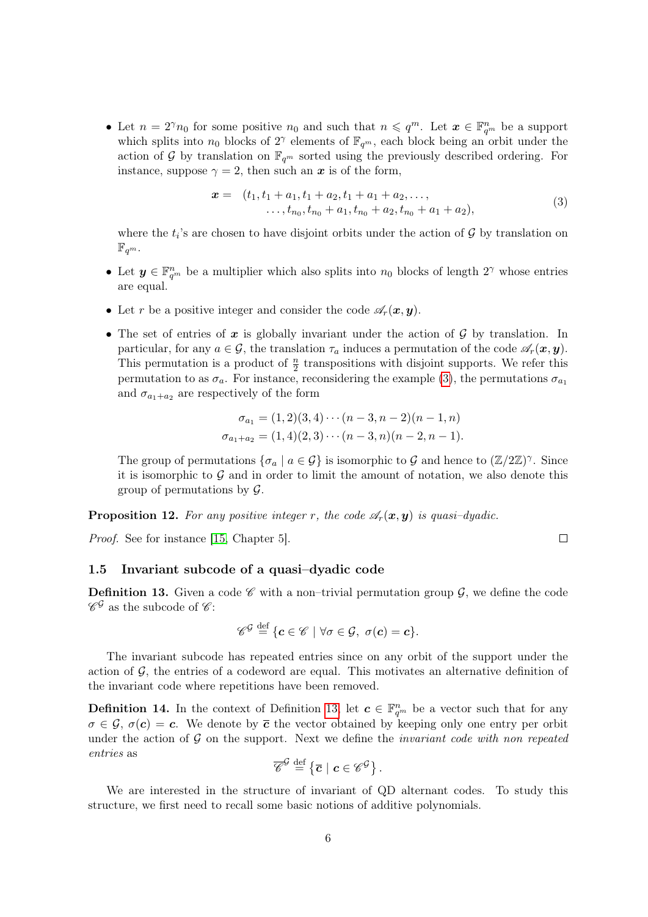• Let  $n = 2^{\gamma} n_0$  for some positive  $n_0$  and such that  $n \leqslant q^m$ . Let  $\boldsymbol{x} \in \mathbb{F}_{q^m}^n$  be a support which splits into  $n_0$  blocks of  $2^{\gamma}$  elements of  $\mathbb{F}_{q^m}$ , each block being an orbit under the action of G by translation on  $\mathbb{F}_{q^m}$  sorted using the previously described ordering. For instance, suppose  $\gamma = 2$ , then such an x is of the form,

<span id="page-5-0"></span>
$$
\mathbf{x} = (t_1, t_1 + a_1, t_1 + a_2, t_1 + a_1 + a_2, \dots, \n\dots, t_{n_0}, t_{n_0} + a_1, t_{n_0} + a_2, t_{n_0} + a_1 + a_2),
$$
\n(3)

where the  $t_i$ 's are chosen to have disjoint orbits under the action of  $\mathcal G$  by translation on  $\mathbb{F}_{q^m}.$ 

- Let  $y \in \mathbb{F}_{q^m}^n$  be a multiplier which also splits into  $n_0$  blocks of length  $2^{\gamma}$  whose entries are equal.
- Let r be a positive integer and consider the code  $\mathscr{A}_r(\boldsymbol{x}, \boldsymbol{y})$ .
- The set of entries of x is globally invariant under the action of  $\mathcal G$  by translation. In particular, for any  $a \in \mathcal{G}$ , the translation  $\tau_a$  induces a permutation of the code  $\mathscr{A}_r(\bm{x}, \bm{y})$ . This permutation is a product of  $\frac{n}{2}$  transpositions with disjoint supports. We refer this permutation to as  $\sigma_a$ . For instance, reconsidering the example [\(3\)](#page-5-0), the permutations  $\sigma_{a_1}$ and  $\sigma_{a_1+a_2}$  are respectively of the form

$$
\sigma_{a_1} = (1,2)(3,4)\cdots (n-3,n-2)(n-1,n)
$$
  

$$
\sigma_{a_1+a_2} = (1,4)(2,3)\cdots (n-3,n)(n-2,n-1).
$$

The group of permutations  $\{\sigma_a \mid a \in \mathcal{G}\}\$ is isomorphic to  $\mathcal G$  and hence to  $(\mathbb Z/2\mathbb Z)^{\gamma}$ . Since it is isomorphic to  $\mathcal G$  and in order to limit the amount of notation, we also denote this group of permutations by  $\mathcal{G}$ .

**Proposition 12.** For any positive integer r, the code  $\mathscr{A}_r(\mathbf{x}, \mathbf{y})$  is quasi-dyadic.

Proof. See for instance [\[15,](#page-23-10) Chapter 5].

# <span id="page-5-3"></span>1.5 Invariant subcode of a quasi–dyadic code

<span id="page-5-1"></span>**Definition 13.** Given a code  $\mathscr{C}$  with a non-trivial permutation group  $\mathscr{G}$ , we define the code  $\mathscr{C}^{\mathcal{G}}$  as the subcode of  $\mathscr{C}$ :

$$
\mathscr{C}^{\mathcal{G}} \stackrel{\text{def}}{=} \{ \boldsymbol{c} \in \mathscr{C} \mid \forall \sigma \in \mathcal{G}, \ \sigma(\boldsymbol{c}) = \boldsymbol{c} \}.
$$

The invariant subcode has repeated entries since on any orbit of the support under the action of  $\mathcal{G}$ , the entries of a codeword are equal. This motivates an alternative definition of the invariant code where repetitions have been removed.

<span id="page-5-2"></span>**Definition 14.** In the context of Definition [13,](#page-5-1) let  $c \in \mathbb{F}_{q^m}^n$  be a vector such that for any  $\sigma \in \mathcal{G}$ ,  $\sigma(\mathbf{c}) = \mathbf{c}$ . We denote by  $\bar{\mathbf{c}}$  the vector obtained by keeping only one entry per orbit under the action of  $\mathcal G$  on the support. Next we define the *invariant code with non repeated* entries as

$$
\overline{\mathscr{C}}^{\mathcal{G}} \stackrel{\text{def}}{=} \left\{ \overline{c} \mid c \in \mathscr{C}^{\mathcal{G}} \right\}.
$$

We are interested in the structure of invariant of QD alternant codes. To study this structure, we first need to recall some basic notions of additive polynomials.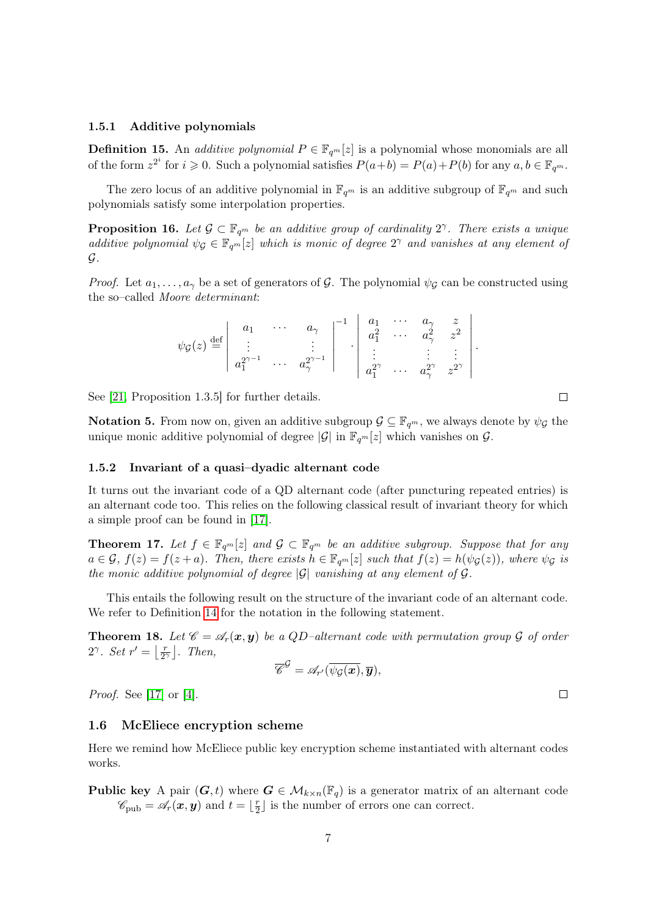#### 1.5.1 Additive polynomials

**Definition 15.** An *additive polynomial*  $P \in \mathbb{F}_{q^m}[z]$  is a polynomial whose monomials are all of the form  $z^{2^i}$  for  $i \geqslant 0$ . Such a polynomial satisfies  $P(a+b) = P(a) + P(b)$  for any  $a, b \in \mathbb{F}_{q^m}$ .

The zero locus of an additive polynomial in  $\mathbb{F}_{q^m}$  is an additive subgroup of  $\mathbb{F}_{q^m}$  and such polynomials satisfy some interpolation properties.

**Proposition 16.** Let  $\mathcal{G} \subset \mathbb{F}_{q^m}$  be an additive group of cardinality  $2^{\gamma}$ . There exists a unique additive polynomial  $\psi_{\mathcal{G}} \in \mathbb{F}_{q^m}[z]$  which is monic of degree  $2^{\gamma}$  and vanishes at any element of G.

*Proof.* Let  $a_1, \ldots, a_\gamma$  be a set of generators of G. The polynomial  $\psi_G$  can be constructed using the so–called Moore determinant:

| $\psi_{\mathcal{G}}(z) \stackrel{\text{def}}{=} \begin{vmatrix} a_1 & \cdots & a_{\gamma} &   & 1 \\ \vdots & & \vdots &   & a_1^{2\gamma-1} & \cdots & a_{\gamma}^{2\gamma-1} \\ a_1^{2\gamma-1} & \cdots & a_{\gamma}^{2\gamma-1} &   & a_1^{2\gamma} & \cdots & a_{\gamma}^{2\gamma} & z^{2\gamma} \end{vmatrix}.$ |  |  |  |  |  |
|-----------------------------------------------------------------------------------------------------------------------------------------------------------------------------------------------------------------------------------------------------------------------------------------------------------------------|--|--|--|--|--|
|                                                                                                                                                                                                                                                                                                                       |  |  |  |  |  |

See [\[21,](#page-24-13) Proposition 1.3.5] for further details.

**Notation 5.** From now on, given an additive subgroup  $\mathcal{G} \subseteq \mathbb{F}_{q^m}$ , we always denote by  $\psi_{\mathcal{G}}$  the unique monic additive polynomial of degree  $|\mathcal{G}|$  in  $\mathbb{F}_{q^m}[z]$  which vanishes on  $\mathcal{G}$ .

#### 1.5.2 Invariant of a quasi–dyadic alternant code

It turns out the invariant code of a QD alternant code (after puncturing repeated entries) is an alternant code too. This relies on the following classical result of invariant theory for which a simple proof can be found in [\[17\]](#page-23-6).

<span id="page-6-1"></span>**Theorem 17.** Let  $f \in \mathbb{F}_{q^m}[z]$  and  $\mathcal{G} \subset \mathbb{F}_{q^m}$  be an additive subgroup. Suppose that for any  $a \in \mathcal{G}$ ,  $f(z) = f(z+a)$ . Then, there exists  $h \in \mathbb{F}_{q^m}[z]$  such that  $f(z) = h(\psi_{\mathcal{G}}(z))$ , where  $\psi_{\mathcal{G}}$  is the monic additive polynomial of degree  $|\mathcal{G}|$  vanishing at any element of  $\mathcal{G}$ .

This entails the following result on the structure of the invariant code of an alternant code. We refer to Definition [14](#page-5-2) for the notation in the following statement.

<span id="page-6-0"></span>**Theorem 18.** Let  $\mathscr{C} = \mathscr{A}_r(x, y)$  be a QD-alternant code with permutation group  $\mathcal G$  of order 2<sup> $\gamma$ </sup>. Set  $r' = \frac{r}{2}$  $\frac{r}{2^{\gamma}}$ . Then,

$$
\overline{\mathscr{C}}^{\mathcal{G}} = \mathscr{A}_{r'}(\overline{\psi_{\mathcal{G}}(\boldsymbol{x})}, \overline{\boldsymbol{y}}),
$$

Proof. See [\[17\]](#page-23-6) or [\[4\]](#page-23-11).

#### 1.6 McEliece encryption scheme

Here we remind how McEliece public key encryption scheme instantiated with alternant codes works.

**Public key** A pair  $(G, t)$  where  $G \in \mathcal{M}_{k \times n}(\mathbb{F}_q)$  is a generator matrix of an alternant code  $\mathscr{C}_{\text{pub}} = \mathscr{A}_r(\boldsymbol{x}, \boldsymbol{y})$  and  $t = \lfloor \frac{r}{2} \rfloor$  $\frac{r}{2}$  is the number of errors one can correct.

 $\Box$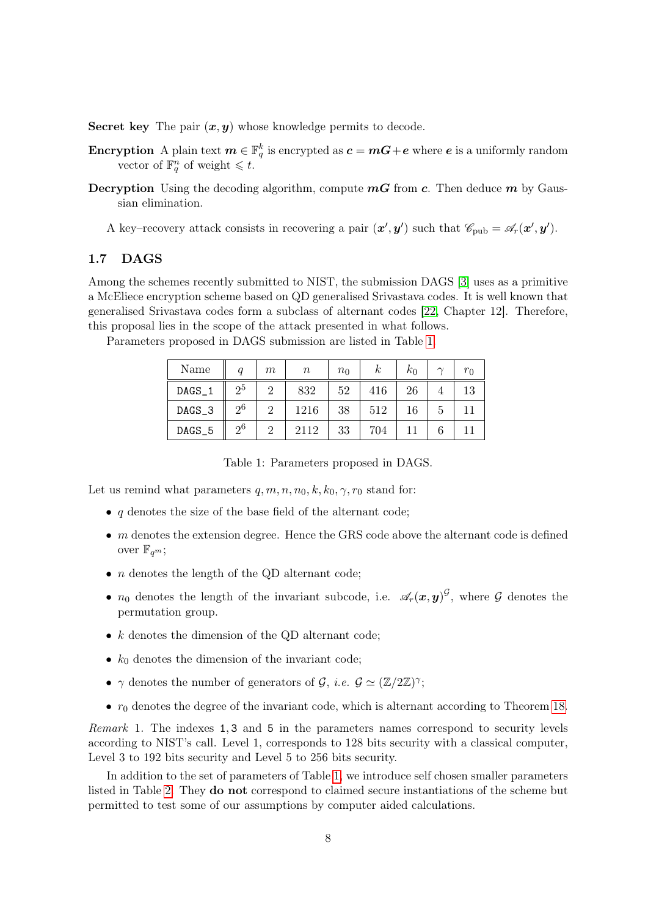Secret key The pair  $(x, y)$  whose knowledge permits to decode.

- Encryption A plain text  $m \in \mathbb{F}_q^k$  is encrypted as  $\bm{c} = \bm{m}\bm{G} + \bm{e}$  where  $\bm{e}$  is a uniformly random vector of  $\mathbb{F}_q^n$  of weight  $\leq t$ .
- **Decryption** Using the decoding algorithm, compute  $mG$  from c. Then deduce m by Gaussian elimination.

A key-recovery attack consists in recovering a pair  $(x', y')$  such that  $\mathscr{C}_{\text{pub}} = \mathscr{A}_r(x', y')$ .

# <span id="page-7-1"></span>1.7 DAGS

Among the schemes recently submitted to NIST, the submission DAGS [\[3\]](#page-22-2) uses as a primitive a McEliece encryption scheme based on QD generalised Srivastava codes. It is well known that generalised Srivastava codes form a subclass of alternant codes [\[22,](#page-24-12) Chapter 12]. Therefore, this proposal lies in the scope of the attack presented in what follows.

| Name   |                | m | $\, n \,$ | $n_0$ | $\kappa$ | $k_0$ | $\sim$ | $r_0$ |
|--------|----------------|---|-----------|-------|----------|-------|--------|-------|
| DAGS_1 | 2 <sub>0</sub> | റ | 832       | 52    | 416      | 26    |        | 13    |
| DAGS_3 | 2 <sup>6</sup> | റ | 1216      | 38    | 512      | 16    | b      |       |
| DAGS_5 | 2 <sup>6</sup> | റ | 2112      | 33    | 704      |       |        |       |

Parameters proposed in DAGS submission are listed in Table [1.](#page-7-0)

<span id="page-7-0"></span>Table 1: Parameters proposed in DAGS.

Let us remind what parameters  $q, m, n, n_0, k, k_0, \gamma, r_0$  stand for:

- $q$  denotes the size of the base field of the alternant code;
- $\bullet$  m denotes the extension degree. Hence the GRS code above the alternant code is defined over  $\mathbb{F}_{q^m}$ ;
- *n* denotes the length of the QD alternant code;
- $n_0$  denotes the length of the invariant subcode, i.e.  $\mathscr{A}_r(x,y)^\mathcal{G}$ , where  $\mathcal G$  denotes the permutation group.
- $k$  denotes the dimension of the QD alternant code;
- $k_0$  denotes the dimension of the invariant code;
- $\gamma$  denotes the number of generators of  $\mathcal{G}, i.e. \mathcal{G} \simeq (\mathbb{Z}/2\mathbb{Z})^{\gamma};$
- $r_0$  denotes the degree of the invariant code, which is alternant according to Theorem [18.](#page-6-0)

Remark 1. The indexes 1, 3 and 5 in the parameters names correspond to security levels according to NIST's call. Level 1, corresponds to 128 bits security with a classical computer, Level 3 to 192 bits security and Level 5 to 256 bits security.

In addition to the set of parameters of Table [1,](#page-7-0) we introduce self chosen smaller parameters listed in Table [2.](#page-8-1) They do not correspond to claimed secure instantiations of the scheme but permitted to test some of our assumptions by computer aided calculations.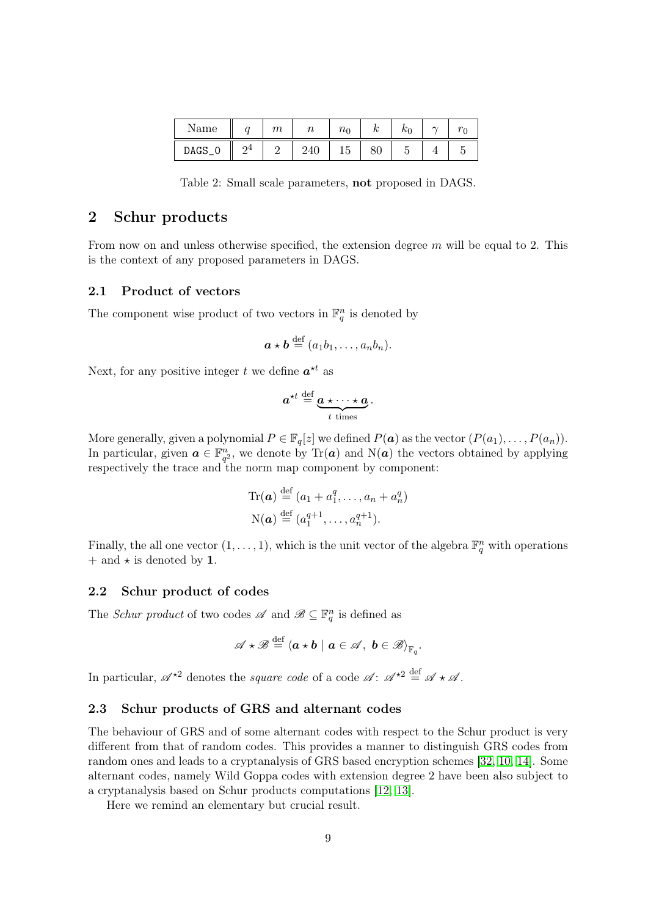| Name   | <b>COMPANY</b> | $\,m$ | $\sim$ | $n_{\rm 0}$ | $\boldsymbol{\imath}$ | ΝI | $\sim$ |
|--------|----------------|-------|--------|-------------|-----------------------|----|--------|
| DAGS_0 | റ4             |       | 240    | r<br>⊥∪     | ov                    |    |        |

<span id="page-8-1"></span>Table 2: Small scale parameters, not proposed in DAGS.

# <span id="page-8-0"></span>2 Schur products

From now on and unless otherwise specified, the extension degree  $m$  will be equal to 2. This is the context of any proposed parameters in DAGS.

# 2.1 Product of vectors

The component wise product of two vectors in  $\mathbb{F}_q^n$  is denoted by

$$
\mathbf{a} \star \mathbf{b} \stackrel{\text{def}}{=} (a_1b_1, \ldots, a_nb_n).
$$

Next, for any positive integer t we define  $a^{\star t}$  as

$$
a^{\star t} \stackrel{\text{def}}{=} \underbrace{a \star \cdots \star a}_{t \text{ times}}.
$$

More generally, given a polynomial  $P \in \mathbb{F}_q[z]$  we defined  $P(\boldsymbol{a})$  as the vector  $(P(a_1), \ldots, P(a_n))$ . In particular, given  $a \in \mathbb{F}_{q^2}^n$ , we denote by Tr(a) and N(a) the vectors obtained by applying respectively the trace and the norm map component by component:

$$
\operatorname{Tr}(\boldsymbol{a}) \stackrel{\text{def}}{=} (a_1 + a_1^q, \dots, a_n + a_n^q)
$$

$$
\mathcal{N}(\boldsymbol{a}) \stackrel{\text{def}}{=} (a_1^{q+1}, \dots, a_n^{q+1}).
$$

Finally, the all one vector  $(1, \ldots, 1)$ , which is the unit vector of the algebra  $\mathbb{F}_q^n$  with operations  $+$  and  $\star$  is denoted by 1.

# 2.2 Schur product of codes

The *Schur product* of two codes  $\mathscr A$  and  $\mathscr B \subseteq \mathbb F_q^n$  is defined as

$$
\mathscr{A} \star \mathscr{B} \stackrel{\text{def}}{=} \langle \boldsymbol{a} \star \boldsymbol{b} \mid \boldsymbol{a} \in \mathscr{A}, \ \boldsymbol{b} \in \mathscr{B} \rangle_{\mathbb{F}_q}.
$$

In particular,  $\mathscr{A}^{\star 2}$  denotes the *square code* of a code  $\mathscr{A} : \mathscr{A}^{\star 2} \stackrel{\text{def}}{=} \mathscr{A} \star \mathscr{A}$ .

# 2.3 Schur products of GRS and alternant codes

The behaviour of GRS and of some alternant codes with respect to the Schur product is very different from that of random codes. This provides a manner to distinguish GRS codes from random ones and leads to a cryptanalysis of GRS based encryption schemes [\[32,](#page-25-0) [10,](#page-23-2) [14\]](#page-23-3). Some alternant codes, namely Wild Goppa codes with extension degree 2 have been also subject to a cryptanalysis based on Schur products computations [\[12,](#page-23-12) [13\]](#page-23-4).

Here we remind an elementary but crucial result.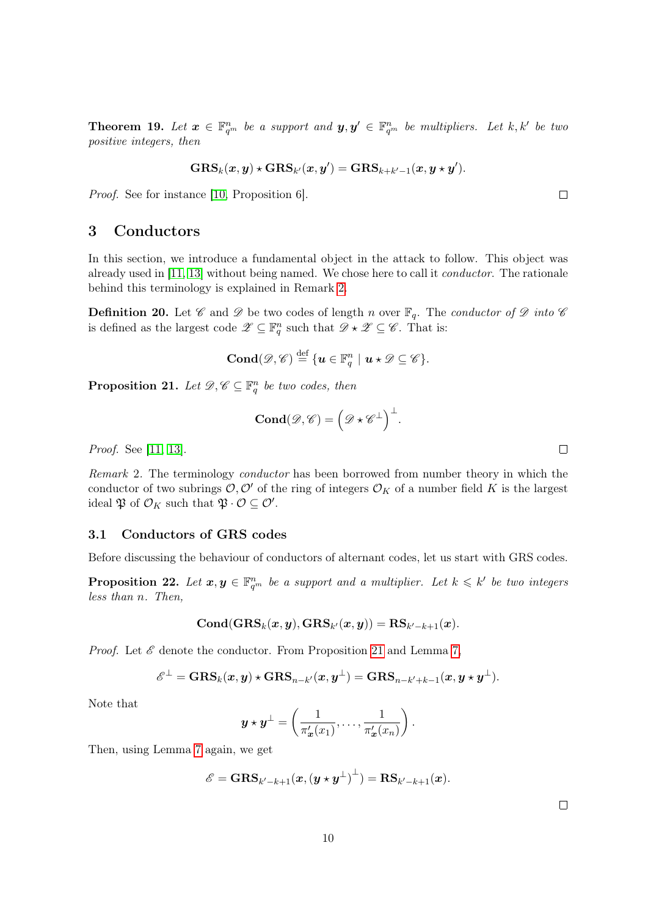<span id="page-9-3"></span>**Theorem 19.** Let  $\boldsymbol{x} \in \mathbb{F}_{q^m}^n$  be a support and  $\boldsymbol{y}, \boldsymbol{y}' \in \mathbb{F}_{q^m}^n$  be multipliers. Let k, k' be two positive integers, then

$$
\text{GRS}_k(\boldsymbol{x}, \boldsymbol{y}) \star \text{GRS}_{k'}(\boldsymbol{x}, \boldsymbol{y}') = \text{GRS}_{k+k'-1}(\boldsymbol{x}, \boldsymbol{y} \star \boldsymbol{y}').
$$

Proof. See for instance [\[10,](#page-23-2) Proposition 6].

# <span id="page-9-0"></span>3 Conductors

In this section, we introduce a fundamental object in the attack to follow. This object was already used in [\[11,](#page-23-8) [13\]](#page-23-4) without being named. We chose here to call it conductor. The rationale behind this terminology is explained in Remark [2.](#page-9-1)

**Definition 20.** Let  $\mathscr C$  and  $\mathscr D$  be two codes of length n over  $\mathbb F_q$ . The conductor of  $\mathscr D$  into  $\mathscr C$ is defined as the largest code  $\mathscr{Z} \subseteq \mathbb{F}_q^n$  such that  $\mathscr{D} \star \mathscr{Z} \subseteq \mathscr{C}$ . That is:

$$
\mathbf{Cond}(\mathscr{D},\mathscr{C})\stackrel{\mathrm{def}}{=}\{\boldsymbol{u}\in\mathbb{F}_q^n\mid\boldsymbol{u}\star\mathscr{D}\subseteq\mathscr{C}\}.
$$

<span id="page-9-2"></span>**Proposition 21.** Let  $\mathscr{D}, \mathscr{C} \subseteq \mathbb{F}_q^n$  be two codes, then

$$
\mathbf{Cond}(\mathscr{D},\mathscr{C})=\left(\mathscr{D}\star\mathscr{C}^{\perp}\right)^{\perp}.
$$

Proof. See [\[11,](#page-23-8) [13\]](#page-23-4).

<span id="page-9-1"></span>Remark 2. The terminology conductor has been borrowed from number theory in which the conductor of two subrings  $\mathcal{O}, \mathcal{O}'$  of the ring of integers  $\mathcal{O}_K$  of a number field K is the largest ideal  $\mathfrak{P}$  of  $\mathcal{O}_K$  such that  $\mathfrak{P} \cdot \mathcal{O} \subseteq \mathcal{O}'$ .

## 3.1 Conductors of GRS codes

Before discussing the behaviour of conductors of alternant codes, let us start with GRS codes.

**Proposition 22.** Let  $x, y \in \mathbb{F}_{q^m}^n$  be a support and a multiplier. Let  $k \leq k'$  be two integers less than n. Then,

$$
\mathbf{Cond}(\mathbf{GRS}_k(\boldsymbol{x}, \boldsymbol{y}), \mathbf{GRS}_{k'}(\boldsymbol{x}, \boldsymbol{y})) = \mathbf{RS}_{k'-k+1}(\boldsymbol{x}).
$$

*Proof.* Let  $\mathscr E$  denote the conductor. From Proposition [21](#page-9-2) and Lemma [7,](#page-3-0)

$$
\mathscr{E}^\perp = \mathbf{GRS}_k(\boldsymbol{x},\boldsymbol{y}) \star \mathbf{GRS}_{n-k'}(\boldsymbol{x},\boldsymbol{y}^\perp) = \mathbf{GRS}_{n-k'+k-1}(\boldsymbol{x},\boldsymbol{y} \star \boldsymbol{y}^\perp).
$$

Note that

$$
\mathbf{y} \star \mathbf{y}^{\perp} = \left(\frac{1}{\pi_{\mathbf{x}}'(x_1)}, \ldots, \frac{1}{\pi_{\mathbf{x}}'(x_n)}\right).
$$

Then, using Lemma [7](#page-3-0) again, we get

$$
\mathscr{E} = \mathbf{GRS}_{k'-k+1}(\boldsymbol{x}, (\boldsymbol{y} \star \boldsymbol{y}^{\perp})^{\perp}) = \mathbf{RS}_{k'-k+1}(\boldsymbol{x}).
$$

 $\Box$ 

 $\Box$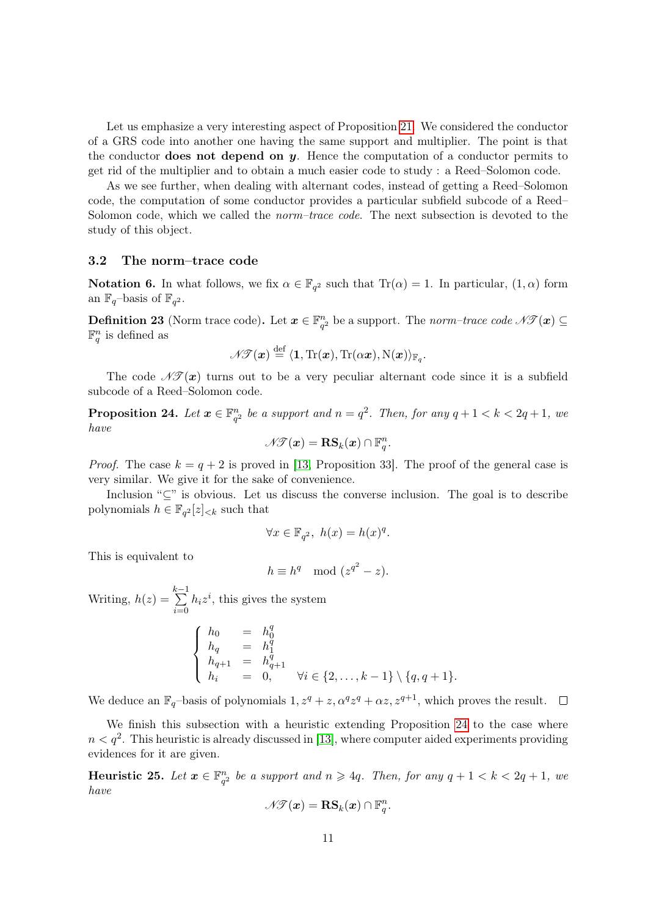Let us emphasize a very interesting aspect of Proposition [21.](#page-9-2) We considered the conductor of a GRS code into another one having the same support and multiplier. The point is that the conductor **does not depend on y**. Hence the computation of a conductor permits to get rid of the multiplier and to obtain a much easier code to study : a Reed–Solomon code.

As we see further, when dealing with alternant codes, instead of getting a Reed–Solomon code, the computation of some conductor provides a particular subfield subcode of a Reed– Solomon code, which we called the *norm–trace code*. The next subsection is devoted to the study of this object.

#### 3.2 The norm–trace code

**Notation 6.** In what follows, we fix  $\alpha \in \mathbb{F}_{q^2}$  such that  $Tr(\alpha) = 1$ . In particular,  $(1, \alpha)$  form an  $\mathbb{F}_q$ -basis of  $\mathbb{F}_{q^2}$ .

**Definition 23** (Norm trace code). Let  $x \in \mathbb{F}_{q^2}^n$  be a support. The norm-trace code  $\mathcal{N}(\mathcal{X}) \subseteq$  $\mathbb{F}_q^n$  is defined as

$$
\mathscr{N} \mathscr{T}(\boldsymbol{x}) \stackrel{\text{def}}{=} \langle \mathbf{1}, \text{Tr}(\boldsymbol{x}), \text{Tr}(\alpha \boldsymbol{x}), \text{N}(\boldsymbol{x}) \rangle_{\mathbb{F}_q}.
$$

The code  $\mathscr{N}(\mathbf{x})$  turns out to be a very peculiar alternant code since it is a subfield subcode of a Reed–Solomon code.

<span id="page-10-0"></span>**Proposition 24.** Let  $x \in \mathbb{F}_{q^2}^n$  be a support and  $n = q^2$ . Then, for any  $q + 1 < k < 2q + 1$ , we have

$$
\mathscr{N\!F}(\boldsymbol{x}) = \mathbf{RS}_k(\boldsymbol{x}) \cap \mathbb{F}_q^n.
$$

*Proof.* The case  $k = q + 2$  is proved in [\[13,](#page-23-4) Proposition 33]. The proof of the general case is very similar. We give it for the sake of convenience.

Inclusion " $\subseteq$ " is obvious. Let us discuss the converse inclusion. The goal is to describe polynomials  $h \in \mathbb{F}_{q^2}[z]_{< k}$  such that

$$
\forall x \in \mathbb{F}_{q^2}, \ h(x) = h(x)^q.
$$

This is equivalent to

$$
h \equiv h^q \mod (z^{q^2} - z).
$$

Writing,  $h(z) =$  $\sum_{ }^{k-1}$  $i=0$  $h_i z^i$ , this gives the system

$$
\begin{cases}\n h_0 = h_0^q \\
h_q = h_1^q \\
h_{q+1} = h_{q+1}^q \\
h_i = 0, \qquad \forall i \in \{2, \dots, k-1\} \setminus \{q, q+1\}.\n\end{cases}
$$

We deduce an  $\mathbb{F}_q$ -basis of polynomials  $1, z^q + z, \alpha^q z^q + \alpha z, z^{q+1}$ , which proves the result.  $\Box$ 

We finish this subsection with a heuristic extending Proposition [24](#page-10-0) to the case where  $n < q^2$ . This heuristic is already discussed in [\[13\]](#page-23-4), where computer aided experiments providing evidences for it are given.

<span id="page-10-1"></span>Heuristic 25. Let  $x \in \mathbb{F}_{q^2}^n$  be a support and  $n \geqslant 4q$ . Then, for any  $q + 1 < k < 2q + 1$ , we have

$$
\mathscr{N}\hspace{-.025cm}\mathscr{T}(\boldsymbol{x}) = \mathbf{RS}_k(\boldsymbol{x}) \cap \mathbb{F}_q^n.
$$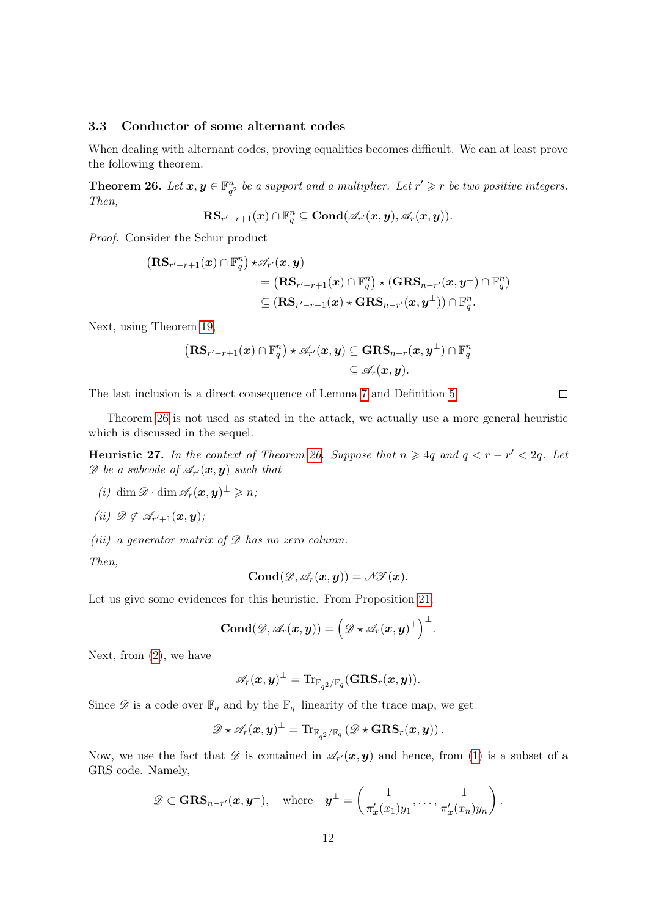### 3.3 Conductor of some alternant codes

When dealing with alternant codes, proving equalities becomes difficult. We can at least prove the following theorem.

<span id="page-11-0"></span>**Theorem 26.** Let  $x, y \in \mathbb{F}_{q^2}^n$  be a support and a multiplier. Let  $r' \geq r$  be two positive integers. Then,

$$
\textup{\textbf{RS}}_{r'-r+1}(\boldsymbol{x})\cap \mathbb{F}_{q}^n\subseteq \textup{\textbf{Cond}}(\mathscr{A}_{r'}(\boldsymbol{x},\boldsymbol{y}),\mathscr{A}_{r}(\boldsymbol{x},\boldsymbol{y})).
$$

Proof. Consider the Schur product

$$
\begin{aligned} \left(\mathbf{RS}_{r'-r+1}(\boldsymbol{x})\cap\mathbb{F}_{q}^{n}\right)\star & \mathscr{A}_{r'}(\boldsymbol{x},\boldsymbol{y}) \\ & \quad =\left(\mathbf{RS}_{r'-r+1}(\boldsymbol{x})\cap\mathbb{F}_{q}^{n}\right)\star\left(\mathbf{GRS}_{n-r'}(\boldsymbol{x},\boldsymbol{y}^{\perp})\cap\mathbb{F}_{q}^{n}\right) \\ & \quad \subseteq\left(\mathbf{RS}_{r'-r+1}(\boldsymbol{x})\star\mathbf{GRS}_{n-r'}(\boldsymbol{x},\boldsymbol{y}^{\perp})\right)\cap\mathbb{F}_{q}^{n} . \end{aligned}
$$

Next, using Theorem [19,](#page-9-3)

$$
\begin{aligned} \big(\mathrm{RS}_{r'-r+1}(\boldsymbol{x})\cap\mathbb{F}_q^n\big)\star \mathscr{A}_{r'}(\boldsymbol{x},\boldsymbol{y}) &\subseteq \mathrm{GRS}_{n-r}(\boldsymbol{x},\boldsymbol{y}^{\perp})\cap\mathbb{F}_q^n\\ &\subseteq \mathscr{A}_r(\boldsymbol{x},\boldsymbol{y}).\end{aligned}
$$

The last inclusion is a direct consequence of Lemma [7](#page-3-0) and Definition [5.](#page-2-1)

Theorem [26](#page-11-0) is not used as stated in the attack, we actually use a more general heuristic which is discussed in the sequel.

<span id="page-11-4"></span>Heuristic 27. In the context of Theorem [26.](#page-11-0) Suppose that  $n \geq 4q$  and  $q < r - r' < 2q$ . Let  $\mathscr{D}$  be a subcode of  $\mathscr{A}_{r'}(\boldsymbol{x}, \boldsymbol{y})$  such that

<span id="page-11-1"></span>
$$
(i) \dim \mathscr{D} \cdot \dim \mathscr{A}_r(\boldsymbol{x}, \boldsymbol{y})^{\perp} \geqslant n;
$$

<span id="page-11-2"></span>
$$
(ii) \mathscr{D} \not\subset \mathscr{A}_{r'+1}(\boldsymbol{x},\boldsymbol{y});
$$

<span id="page-11-3"></span>(iii) a generator matrix of  $\mathscr D$  has no zero column.

Then,

$$
\text{Cond}(\mathscr{D},\mathscr{A}_{r}(\boldsymbol{x},\boldsymbol{y}))=\mathscr{N\!}\mathscr{T}(\boldsymbol{x}).
$$

Let us give some evidences for this heuristic. From Proposition [21,](#page-9-2)

$$
\mathbf{Cond}(\mathscr{D},\mathscr{A}_r(\boldsymbol{x},\boldsymbol{y}))=\Big(\mathscr{D}\star\mathscr{A}_r(\boldsymbol{x},\boldsymbol{y})^\perp\Big)^\perp.
$$

Next, from [\(2\)](#page-3-1), we have

$$
\mathscr{A}_r(\boldsymbol{x},\boldsymbol{y})^\perp=\mathrm{Tr}_{\mathbb{F}_{q^2}/\mathbb{F}_q}(\mathbf{GRS}_r(\boldsymbol{x},\boldsymbol{y})).
$$

Since  $\mathscr D$  is a code over  $\mathbb F_q$  and by the  $\mathbb F_q$ –linearity of the trace map, we get

$$
\mathscr{D}\star \mathscr{A}_r(\boldsymbol{x},\boldsymbol{y})^\perp = \textup{Tr}_{\mathbb{F}_{q^2}/\mathbb{F}_q}\left(\mathscr{D}\star\textup{\textbf{GRS}}_r(\boldsymbol{x},\boldsymbol{y})\right).
$$

Now, we use the fact that  $\mathscr{D}$  is contained in  $\mathscr{A}_{r'}(\bm{x}, \bm{y})$  and hence, from [\(1\)](#page-3-2) is a subset of a GRS code. Namely,

$$
\mathscr{D} \subset \mathbf{GRS}_{n-r'}(\boldsymbol{x}, \boldsymbol{y}^{\perp}), \quad \text{where} \quad \boldsymbol{y}^{\perp} = \left(\frac{1}{\pi'_{\boldsymbol{x}}(x_1)y_1}, \ldots, \frac{1}{\pi'_{\boldsymbol{x}}(x_n)y_n}\right).
$$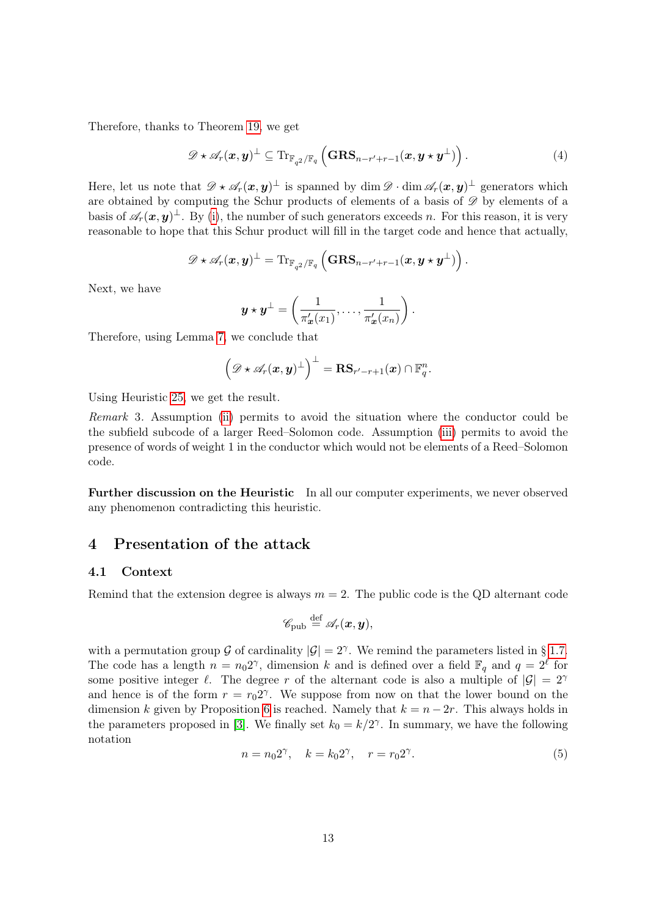Therefore, thanks to Theorem [19,](#page-9-3) we get

$$
\mathscr{D} \star \mathscr{A}_r(\boldsymbol{x}, \boldsymbol{y})^{\perp} \subseteq \mathrm{Tr}_{\mathbb{F}_{q^2}/\mathbb{F}_q} \left( \mathbf{GRS}_{n-r'+r-1}(\boldsymbol{x}, \boldsymbol{y} \star \boldsymbol{y}^{\perp}) \right). \tag{4}
$$

Here, let us note that  $\mathscr{D} \star \mathscr{A}_r(\bm{x}, \bm{y})^{\perp}$  is spanned by  $\dim \mathscr{D} \cdot \dim \mathscr{A}_r(\bm{x}, \bm{y})^{\perp}$  generators which are obtained by computing the Schur products of elements of a basis of  $\mathscr D$  by elements of a basis of  $\mathscr{A}_r(\bm{x}, \bm{y})^{\perp}$ . By [\(i\)](#page-11-1), the number of such generators exceeds n. For this reason, it is very reasonable to hope that this Schur product will fill in the target code and hence that actually,

$$
\mathscr{D} \star \mathscr{A}_r(\boldsymbol{x}, \boldsymbol{y})^{\perp} = \mathrm{Tr}_{\mathbb{F}_{q^2}/\mathbb{F}_q} \left( \mathbf{GRS}_{n-r'+r-1}(\boldsymbol{x}, \boldsymbol{y} \star \boldsymbol{y}^{\perp}) \right).
$$

Next, we have

$$
\boldsymbol{y} \star \boldsymbol{y}^{\perp} = \left(\frac{1}{\pi'_{\boldsymbol{x}}(x_1)}, \ldots, \frac{1}{\pi'_{\boldsymbol{x}}(x_n)}\right).
$$

Therefore, using Lemma [7,](#page-3-0) we conclude that

$$
\left(\mathscr{D}\star \mathscr{A}_r(\boldsymbol{x}, \boldsymbol{y})^{\perp}\right)^{\perp} = \mathbf{RS}_{r'-r+1}(\boldsymbol{x})\cap \mathbb{F}_{q}^n.
$$

Using Heuristic [25,](#page-10-1) we get the result.

Remark 3. Assumption [\(ii\)](#page-11-2) permits to avoid the situation where the conductor could be the subfield subcode of a larger Reed–Solomon code. Assumption [\(iii\)](#page-11-3) permits to avoid the presence of words of weight 1 in the conductor which would not be elements of a Reed–Solomon code.

Further discussion on the Heuristic In all our computer experiments, we never observed any phenomenon contradicting this heuristic.

# <span id="page-12-0"></span>4 Presentation of the attack

### 4.1 Context

Remind that the extension degree is always  $m = 2$ . The public code is the QD alternant code

$$
\mathscr{C}_{\text{pub}} \stackrel{\text{def}}{=} \mathscr{A}_r(\boldsymbol{x}, \boldsymbol{y}),
$$

with a permutation group G of cardinality  $|\mathcal{G}| = 2^{\gamma}$ . We remind the parameters listed in § [1.7.](#page-7-1) The code has a length  $n = n_0 2^{\gamma}$ , dimension k and is defined over a field  $\mathbb{F}_q$  and  $q = 2^{\ell}$  for some positive integer  $\ell$ . The degree r of the alternant code is also a multiple of  $|\mathcal{G}| = 2^{\gamma}$ and hence is of the form  $r = r_0 2^{\gamma}$ . We suppose from now on that the lower bound on the dimension k given by Proposition [6](#page-3-3) is reached. Namely that  $k = n - 2r$ . This always holds in the parameters proposed in [\[3\]](#page-22-2). We finally set  $k_0 = k/2^{\gamma}$ . In summary, we have the following notation

$$
n = n_0 2^{\gamma}, \quad k = k_0 2^{\gamma}, \quad r = r_0 2^{\gamma}.
$$
 (5)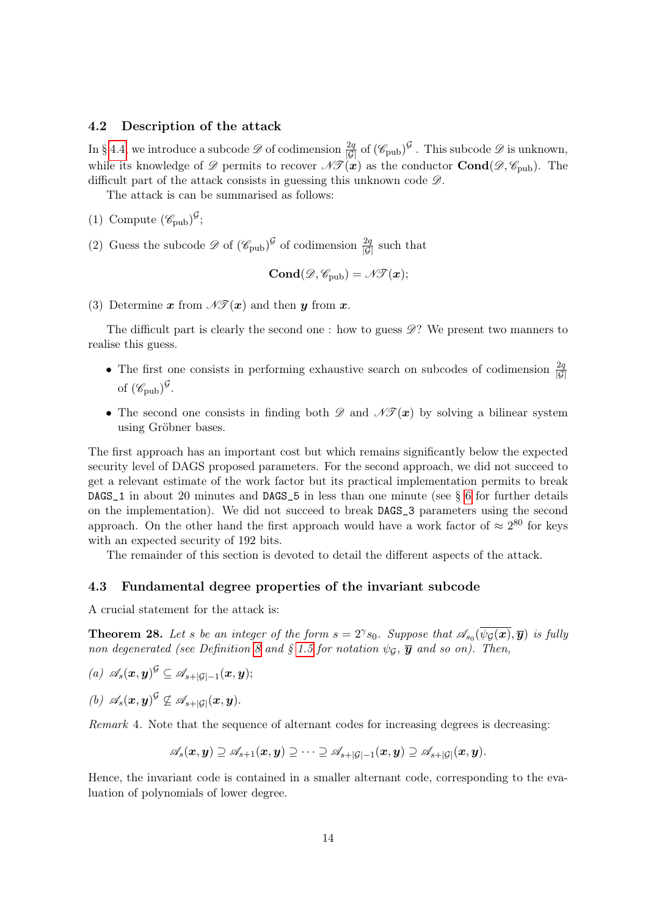#### 4.2 Description of the attack

In § [4.4,](#page-14-0) we introduce a subcode  $\mathscr{D}$  of codimension  $\frac{2q}{|\mathcal{G}|}$  of  $(\mathscr{C}_{\text{pub}})^{\mathcal{G}}$ . This subcode  $\mathscr{D}$  is unknown, while its knowledge of  $\mathscr{D}$  permits to recover  $\mathscr{N}(\bm{x})$  as the conductor  $\text{Cond}(\mathscr{D}, \mathscr{C}_{\text{pub}})$ . The difficult part of the attack consists in guessing this unknown code  $\mathscr{D}$ .

The attack is can be summarised as follows:

- (1) Compute  $(\mathscr{C}_{\text{pub}})^{\mathcal{G}}$ ;
- (2) Guess the subcode  $\mathscr{D}$  of  $(\mathscr{C}_{\text{pub}})^{\mathcal{G}}$  of codimension  $\frac{2q}{|\mathcal{G}|}$  such that

$$
\mathbf{Cond}(\mathscr{D},\mathscr{C}_{\mathrm{pub}})=\mathscr{N}\mathscr{T}(\boldsymbol{x});
$$

(3) Determine x from  $\mathscr{N}(\mathbf{x})$  and then y from x.

The difficult part is clearly the second one : how to guess  $\mathscr{D}$ ? We present two manners to realise this guess.

- The first one consists in performing exhaustive search on subcodes of codimension  $\frac{2q}{|G|}$ of  $(\mathscr{C}_{\text{pub}})^\mathcal{G}$ .
- The second one consists in finding both  $\mathscr D$  and  $\mathscr N(\bm x)$  by solving a bilinear system using Gröbner bases.

The first approach has an important cost but which remains significantly below the expected security level of DAGS proposed parameters. For the second approach, we did not succeed to get a relevant estimate of the work factor but its practical implementation permits to break DAGS\_1 in about 20 minutes and DAGS\_5 in less than one minute (see § [6](#page-22-3) for further details on the implementation). We did not succeed to break DAGS\_3 parameters using the second approach. On the other hand the first approach would have a work factor of  $\approx 2^{80}$  for keys with an expected security of 192 bits.

The remainder of this section is devoted to detail the different aspects of the attack.

#### 4.3 Fundamental degree properties of the invariant subcode

A crucial statement for the attack is:

<span id="page-13-2"></span>**Theorem 28.** Let s be an integer of the form  $s = 2^{\gamma} s_0$ . Suppose that  $\mathscr{A}_{s_0}(\overline{\psi_{\mathcal{G}}(\bm{x})}, \overline{\bm{y}})$  is fully non degenerated (see Definition [8](#page-3-4) and § [1.5](#page-5-3) for notation  $\psi_{\mathcal{G}}$ ,  $\overline{y}$  and so on). Then,

<span id="page-13-1"></span><span id="page-13-0"></span> $(a)$   $\mathscr{A}_{s}(\boldsymbol{x}, \boldsymbol{y})^{\mathcal{G}} \subseteq \mathscr{A}_{s+|\mathcal{G}|-1}(\boldsymbol{x}, \boldsymbol{y});$ (b)  $\mathscr{A}_s(\boldsymbol{x}, \boldsymbol{y})^{\mathcal{G}} \nsubseteq \mathscr{A}_{s+|\mathcal{G}|}(\boldsymbol{x}, \boldsymbol{y}).$ 

Remark 4. Note that the sequence of alternant codes for increasing degrees is decreasing:

$$
\mathscr{A}_{s}(\boldsymbol{x},\boldsymbol{y})\supseteq \mathscr{A}_{s+1}(\boldsymbol{x},\boldsymbol{y})\supseteq \cdots \supseteq \mathscr{A}_{s+|\mathcal{G}|-1}(\boldsymbol{x},\boldsymbol{y})\supseteq \mathscr{A}_{s+|\mathcal{G}|}(\boldsymbol{x},\boldsymbol{y}).
$$

Hence, the invariant code is contained in a smaller alternant code, corresponding to the evaluation of polynomials of lower degree.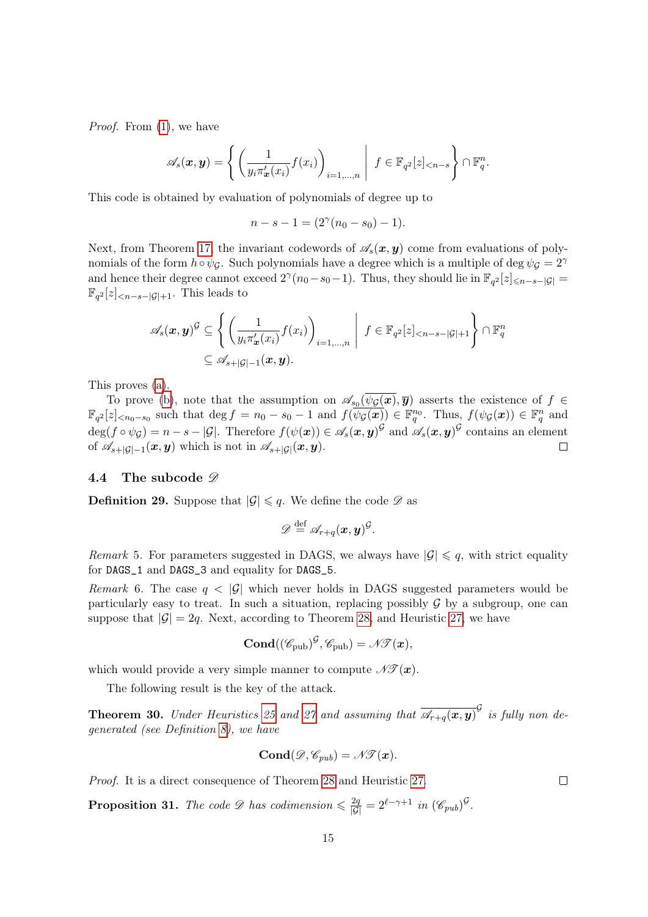Proof. From  $(1)$ , we have

$$
\mathscr{A}_s(\boldsymbol{x},\boldsymbol{y}) = \left\{ \left( \frac{1}{y_i \pi'_{\boldsymbol{x}}(x_i)} f(x_i) \right)_{i=1,\ldots,n} \middle| f \in \mathbb{F}_{q^2}[z]_{< n-s} \right\} \cap \mathbb{F}_q^n.
$$

This code is obtained by evaluation of polynomials of degree up to

 $n-s-1=(2^{\gamma}(n_0-s_0)-1).$ 

Next, from Theorem [17,](#page-6-1) the invariant codewords of  $\mathscr{A}_s(x, y)$  come from evaluations of polynomials of the form  $h \circ \psi_{\mathcal{G}}$ . Such polynomials have a degree which is a multiple of deg  $\psi_{\mathcal{G}} = 2^{\gamma}$ and hence their degree cannot exceed  $2^{\gamma}(n_0-s_0-1)$ . Thus, they should lie in  $\mathbb{F}_{q^2}[z]_{\leq n-s-|\mathcal{G}|}$  $\mathbb{F}_{q^2}[z]_{\leq n-s-|\mathcal{G}|+1}$ . This leads to

$$
\mathscr{A}_s(\boldsymbol{x},\boldsymbol{y})^{\mathcal{G}} \subseteq \left\{ \left( \frac{1}{y_i \pi'_{\boldsymbol{x}}(x_i)} f(x_i) \right)_{i=1,\ldots,n} \middle| f \in \mathbb{F}_{q^2}[z]_{\leq n-s-|\mathcal{G}|+1} \right\} \cap \mathbb{F}_q^n
$$
  

$$
\subseteq \mathscr{A}_{s+|\mathcal{G}|-1}(\boldsymbol{x},\boldsymbol{y}).
$$

This proves [\(a\)](#page-13-0).

To prove [\(b\)](#page-13-1), note that the assumption on  $\mathscr{A}_{s_0}(\psi_{\mathcal{G}}(\bm{x}), \overline{\bm{y}})$  asserts the existence of  $f \in$  $\mathbb{F}_{q^2}[z]_{\leq n_0-s_0}$  such that  $\deg f = n_0 - s_0 - 1$  and  $f(\overline{\psi_{\mathcal{G}}(\boldsymbol{x})}) \in \mathbb{F}_q^{n_0}$ . Thus,  $f(\psi_{\mathcal{G}}(\boldsymbol{x})) \in \mathbb{F}_q^{n}$  and  $\deg(f \circ \psi_{\mathcal{G}}) = n - s - |\mathcal{G}|$ . Therefore  $f(\psi(\boldsymbol{x})) \in \mathscr{A}_s(\boldsymbol{x}, \boldsymbol{y})^{\mathcal{G}}$  and  $\mathscr{A}_s(\boldsymbol{x}, \boldsymbol{y})^{\mathcal{G}}$  contains an element of  $\mathscr{A}_{s+|\mathcal{G}|-1}(x,y)$  which is not in  $\mathscr{A}_{s+|\mathcal{G}|}(x,y)$ .  $\Box$ 

#### <span id="page-14-0"></span>4.4 The subcode  $\mathscr{D}$

**Definition 29.** Suppose that  $|\mathcal{G}| \leq q$ . We define the code  $\mathcal{D}$  as

$$
\mathscr{D} \stackrel{\text{def}}{=} \mathscr{A}_{r+q}(\boldsymbol{x}, \boldsymbol{y})^{\mathcal{G}}.
$$

Remark 5. For parameters suggested in DAGS, we always have  $|\mathcal{G}| \leq q$ , with strict equality for DAGS\_1 and DAGS\_3 and equality for DAGS\_5.

Remark 6. The case  $q < |\mathcal{G}|$  which never holds in DAGS suggested parameters would be particularly easy to treat. In such a situation, replacing possibly  $\mathcal G$  by a subgroup, one can suppose that  $|\mathcal{G}| = 2q$ . Next, according to Theorem [28,](#page-13-2) and Heuristic [27,](#page-11-4) we have

$$
\mathbf{Cond}((\mathscr{C}_{\mathrm{pub}})^{\mathcal{G}}, \mathscr{C}_{\mathrm{pub}}) = \mathscr{N\!}(\boldsymbol{x}),
$$

which would provide a very simple manner to compute  $\mathcal{N}(\bm{x})$ .

The following result is the key of the attack.

**Theorem 30.** Under Heuristics [25](#page-10-1) and [27](#page-11-4) and assuming that  $\overline{\mathscr{A}_{r+q}(x,y)}^{\mathcal{G}}$  is fully non degenerated (see Definition [8\)](#page-3-4), we have

$$
\text{Cond}(\mathscr{D}, \mathscr{C}_{pub})=\mathscr{N}\!\mathscr{T}(\bm{x}).
$$

Proof. It is a direct consequence of Theorem [28](#page-13-2) and Heuristic [27.](#page-11-4)

**Proposition 31.** The code  $\mathscr{D}$  has codimension  $\leq \frac{2q}{|\mathcal{G}|} = 2^{\ell - \gamma + 1}$  in  $(\mathscr{C}_{pub})^{\mathcal{G}}$ .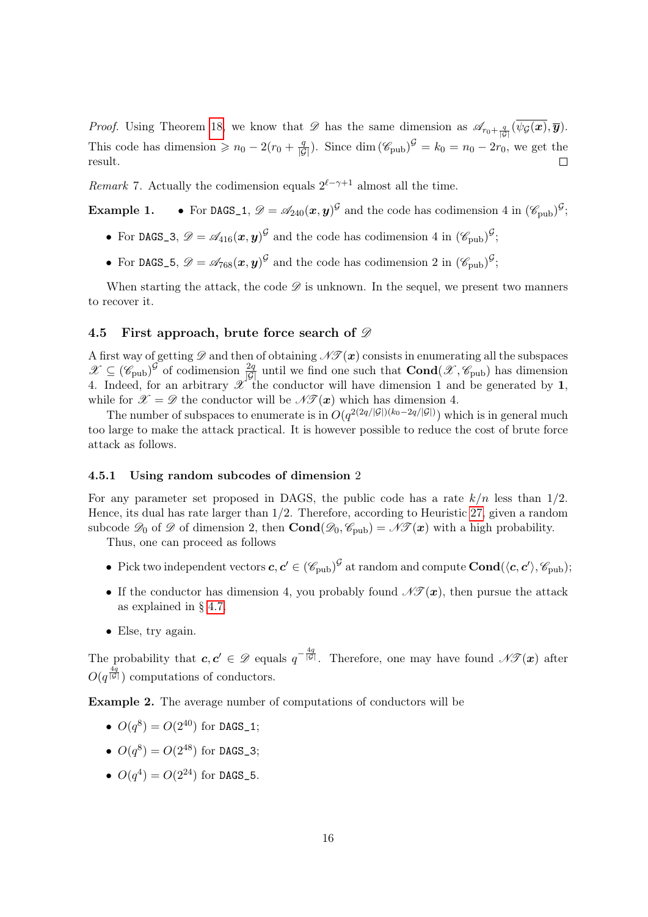*Proof.* Using Theorem [18,](#page-6-0) we know that  $\mathscr{D}$  has the same dimension as  $\mathscr{A}_{r_0+\frac{q}{|\mathcal{G}|}}(\psi_{\mathcal{G}}(\bm{x}), \overline{\bm{y}})$ . This code has dimension  $\geq n_0 - 2(r_0 + \frac{q}{|\mathcal{G}|})$ . Since  $\dim (\mathcal{C}_{\text{pub}})^{\mathcal{G}} = k_0 = n_0 - 2r_0$ , we get the result.

*Remark* 7. Actually the codimension equals  $2^{\ell-\gamma+1}$  almost all the time.

**Example 1.** • For DAGS<sub>1</sub>,  $\mathscr{D} = \mathscr{A}_{240}(x, y)^{\mathcal{G}}$  and the code has codimension 4 in  $(\mathscr{C}_{\text{pub}})^{\mathcal{G}}$ ;

- For DAGS\_3,  $\mathscr{D} = \mathscr{A}_{416}(\boldsymbol{x}, \boldsymbol{y})^{\mathcal{G}}$  and the code has codimension 4 in  $(\mathscr{C}_{\text{pub}})^{\mathcal{G}}$ ;
- For DAGS\_5,  $\mathscr{D} = \mathscr{A}_{768}(\bm{x}, \bm{y})^{\mathcal{G}}$  and the code has codimension 2 in  $(\mathscr{C}_{\text{pub}})^{\mathcal{G}}$ ;

When starting the attack, the code  $\mathscr D$  is unknown. In the sequel, we present two manners to recover it.

# <span id="page-15-1"></span>4.5 First approach, brute force search of  $\mathscr D$

A first way of getting  $\mathscr D$  and then of obtaining  $\mathscr{N\!F}(\bm{x})$  consists in enumerating all the subspaces  $\mathscr{X} \subseteq (\mathscr{C}_{\text{pub}})^{\mathcal{G}}$  of codimension  $\frac{2q}{|\mathcal{G}|}$  until we find one such that  $\text{Cond}(\mathscr{X}, \mathscr{C}_{\text{pub}})$  has dimension 4. Indeed, for an arbitrary  $\mathscr{X}$  the conductor will have dimension 1 and be generated by 1, while for  $\mathscr{X} = \mathscr{D}$  the conductor will be  $\mathscr{N}(\mathscr{X})$  which has dimension 4.

The number of subspaces to enumerate is in  $O(q^{2(2q/|\mathcal{G}|)(k_0-2q/|\mathcal{G}|)})$  which is in general much too large to make the attack practical. It is however possible to reduce the cost of brute force attack as follows.

#### <span id="page-15-0"></span>4.5.1 Using random subcodes of dimension 2

For any parameter set proposed in DAGS, the public code has a rate  $k/n$  less than  $1/2$ . Hence, its dual has rate larger than 1/2. Therefore, according to Heuristic [27,](#page-11-4) given a random subcode  $\mathscr{D}_0$  of  $\mathscr{D}$  of dimension 2, then  $\text{Cond}(\mathscr{D}_0, \mathscr{C}_{\text{pub}}) = \mathscr{N}(\mathscr{T}(\mathbf{x}))$  with a high probability.

Thus, one can proceed as follows

- Pick two independent vectors  $c, c' \in (\mathscr{C}_{\text{pub}})^{\mathcal{G}}$  at random and compute  $\text{Cond}(\langle c, c' \rangle, \mathscr{C}_{\text{pub}})$ ;
- If the conductor has dimension 4, you probably found  $\mathscr{N}(\mathbf{x})$ , then pursue the attack as explained in § [4.7.](#page-17-0)
- Else, try again.

The probability that  $c, c' \in \mathscr{D}$  equals  $q^{-\frac{4q}{|\mathcal{G}|}}$ . Therefore, one may have found  $\mathscr{N}(\mathbf{x})$  after  $O(q^{\frac{4q}{|\mathcal{G}|}})$  computations of conductors.

Example 2. The average number of computations of conductors will be

- $O(q^8) = O(2^{40})$  for DAGS\_1;
- $O(q^8) = O(2^{48})$  for DAGS\_3;
- $O(q^4) = O(2^{24})$  for DAGS\_5.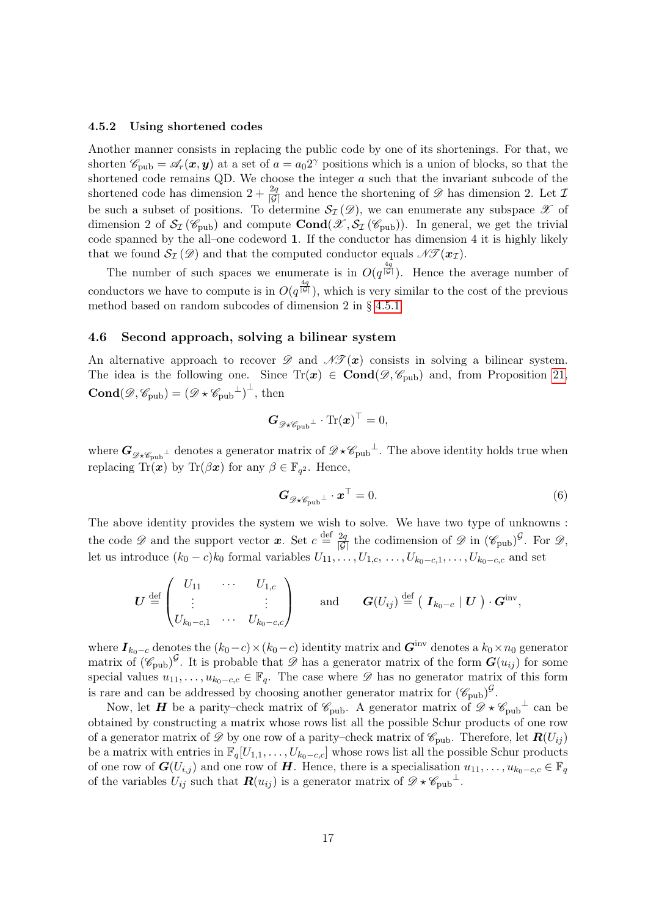#### 4.5.2 Using shortened codes

Another manner consists in replacing the public code by one of its shortenings. For that, we shorten  $\mathscr{C}_{\text{pub}} = \mathscr{A}_r(\bm{x}, \bm{y})$  at a set of  $a = a_0 2^{\gamma}$  positions which is a union of blocks, so that the shortened code remains QD. We choose the integer a such that the invariant subcode of the shortened code has dimension  $2 + \frac{2q}{|\mathcal{G}|}$  and hence the shortening of  $\mathscr{D}$  has dimension 2. Let  $\mathcal{I}$ be such a subset of positions. To determine  $\mathcal{S}_{\mathcal{I}}(\mathscr{D})$ , we can enumerate any subspace  $\mathscr{X}$  of dimension 2 of  $\mathcal{S}_{\mathcal{I}}(\mathscr{C}_{\text{pub}})$  and compute  $\text{Cond}(\mathscr{X}, \mathcal{S}_{\mathcal{I}}(\mathscr{C}_{\text{pub}}))$ . In general, we get the trivial code spanned by the all–one codeword 1. If the conductor has dimension 4 it is highly likely that we found  $\mathcal{S}_{\mathcal{I}}(\mathcal{D})$  and that the computed conductor equals  $\mathcal{N}\mathcal{F}(\mathbf{x}_\mathcal{I}).$ 

The number of such spaces we enumerate is in  $O(q^{\frac{4q}{|G|}})$ . Hence the average number of conductors we have to compute is in  $O(q^{\frac{4q}{|G|}})$ , which is very similar to the cost of the previous method based on random subcodes of dimension 2 in § [4.5.1.](#page-15-0)

### 4.6 Second approach, solving a bilinear system

An alternative approach to recover  $\mathscr{D}$  and  $\mathscr{N}(\mathbf{x})$  consists in solving a bilinear system. The idea is the following one. Since  $Tr(x) \in \text{Cond}(\mathscr{D}, \mathscr{C}_{\text{pub}})$  and, from Proposition [21,](#page-9-2) **Cond** $(\mathscr{D}, \mathscr{C}_{\text{pub}}) = (\mathscr{D} \star \mathscr{C}_{\text{pub}}^{\perp})^{\perp}$ , then

$$
\bm{G}_{\mathscr{D}\star\mathscr{C}_{\mathrm{pub}}^{\bot}}\cdot\text{Tr}(\bm{x})^{\top}=0,
$$

where  $G_{\mathscr{D}\star\mathscr{C}_{\text{pub}}^{\perp}}$  denotes a generator matrix of  $\mathscr{D}\star\mathscr{C}_{\text{pub}}^{\perp}$ . The above identity holds true when replacing  $\text{Tr}(\hat{\boldsymbol{x}})$  by  $\text{Tr}(\beta \boldsymbol{x})$  for any  $\beta \in \mathbb{F}_{q^2}$ . Hence,

<span id="page-16-0"></span>
$$
\mathbf{G}_{\mathscr{D}\star\mathscr{C}_{\text{pub}}^{\perp}}\cdot\mathbf{x}^{\top}=0.
$$
 (6)

The above identity provides the system we wish to solve. We have two type of unknowns : the code  $\mathscr D$  and the support vector  $\boldsymbol x$ . Set  $c \stackrel{\text{def}}{=} \frac{2q}{|\mathcal{G}|}$  the codimension of  $\mathscr D$  in  $(\mathscr C_{\text{pub}})^{\mathcal{G}}$ . For  $\mathscr D$ , let us introduce  $(k_0 - c)k_0$  formal variables  $U_{11}, \ldots, U_{1,c}, \ldots, U_{k_0-c,1}, \ldots, U_{k_0-c,c}$  and set

$$
\boldsymbol{U} \stackrel{\text{def}}{=} \begin{pmatrix} U_{11} & \cdots & U_{1,c} \\ \vdots & & \vdots \\ U_{k_0-c,1} & \cdots & U_{k_0-c,c} \end{pmatrix} \quad \text{and} \quad \boldsymbol{G}(U_{ij}) \stackrel{\text{def}}{=} (\boldsymbol{I}_{k_0-c} \mid \boldsymbol{U}) \cdot \boldsymbol{G}^{\text{inv}},
$$

where  $I_{k_0-c}$  denotes the  $(k_0-c)\times(k_0-c)$  identity matrix and  $G^{\text{inv}}$  denotes a  $k_0\times n_0$  generator matrix of  $(\mathscr{C}_{\text{pub}})^{\mathcal{G}}$ . It is probable that  $\mathscr{D}$  has a generator matrix of the form  $G(u_{ij})$  for some special values  $u_{11}, \ldots, u_{k_0-c,c} \in \mathbb{F}_q$ . The case where  $\mathscr{D}$  has no generator matrix of this form is rare and can be addressed by choosing another generator matrix for  $(\mathscr{C}_{\text{pub}})^{\mathcal{G}}$ .

Now, let **H** be a parity–check matrix of  $\mathscr{C}_{\text{pub}}$ . A generator matrix of  $\mathscr{D} \star \mathscr{C}_{\text{pub}}^{\perp}$  can be obtained by constructing a matrix whose rows list all the possible Schur products of one row of a generator matrix of  $\mathscr D$  by one row of a parity–check matrix of  $\mathscr C_{\rm pub}$ . Therefore, let  $\mathbf{R}(U_{ij})$ be a matrix with entries in  $\mathbb{F}_q[U_{1,1},\ldots,U_{k_0-c,c}]$  whose rows list all the possible Schur products of one row of  $\mathbf{G}(U_{i,j})$  and one row of H. Hence, there is a specialisation  $u_{11}, \ldots, u_{k_0-c,c} \in \mathbb{F}_q$ of the variables  $U_{ij}$  such that  $\mathbf{R}(u_{ij})$  is a generator matrix of  $\mathscr{D} \star \mathscr{C}_{\text{pub}}^{\perp}$ .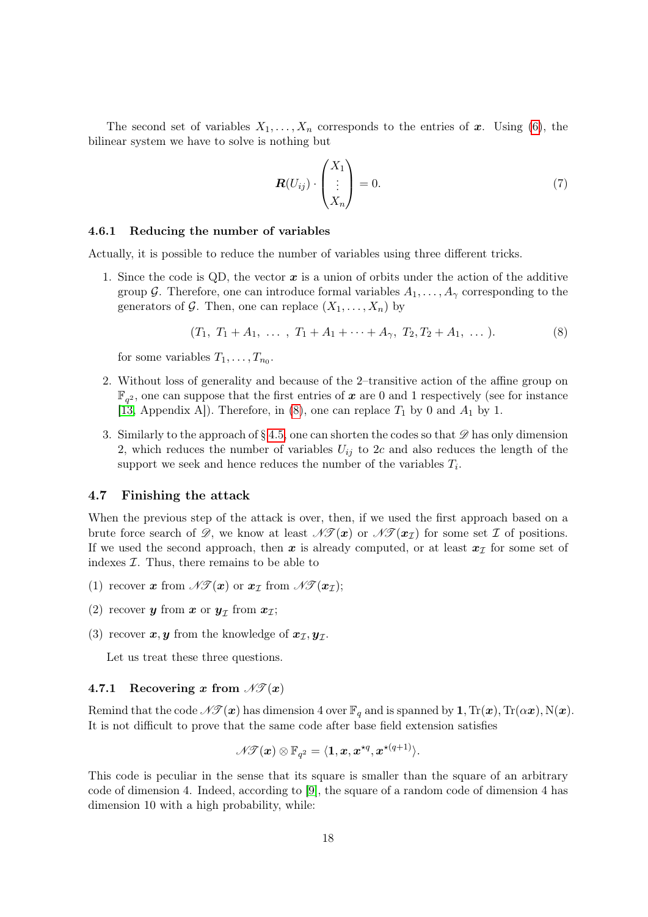The second set of variables  $X_1, \ldots, X_n$  corresponds to the entries of x. Using [\(6\)](#page-16-0), the bilinear system we have to solve is nothing but

$$
\boldsymbol{R}(U_{ij}) \cdot \begin{pmatrix} X_1 \\ \vdots \\ X_n \end{pmatrix} = 0.
$$
 (7)

#### 4.6.1 Reducing the number of variables

Actually, it is possible to reduce the number of variables using three different tricks.

1. Since the code is QD, the vector  $x$  is a union of orbits under the action of the additive group G. Therefore, one can introduce formal variables  $A_1, \ldots, A_{\gamma}$  corresponding to the generators of G. Then, one can replace  $(X_1, \ldots, X_n)$  by

<span id="page-17-1"></span>
$$
(T_1, T_1 + A_1, \ldots, T_1 + A_1 + \cdots + A_{\gamma}, T_2, T_2 + A_1, \ldots).
$$
 (8)

for some variables  $T_1, \ldots, T_{n_0}$ .

- 2. Without loss of generality and because of the 2–transitive action of the affine group on  $\mathbb{F}_{q^2}$ , one can suppose that the first entries of  $\boldsymbol{x}$  are 0 and 1 respectively (see for instance [\[13,](#page-23-4) Appendix A]). Therefore, in [\(8\)](#page-17-1), one can replace  $T_1$  by 0 and  $A_1$  by 1.
- 3. Similarly to the approach of § [4.5,](#page-15-1) one can shorten the codes so that  $\mathscr D$  has only dimension 2, which reduces the number of variables  $U_{ij}$  to 2c and also reduces the length of the support we seek and hence reduces the number of the variables  $T_i$ .

### <span id="page-17-0"></span>4.7 Finishing the attack

When the previous step of the attack is over, then, if we used the first approach based on a brute force search of  $\mathscr{D}$ , we know at least  $\mathscr{N}(\mathbf{x})$  or  $\mathscr{N}(\mathbf{x}_\tau)$  for some set  $\mathcal{I}$  of positions. If we used the second approach, then x is already computed, or at least  $x<sub>I</sub>$  for some set of indexes  $I$ . Thus, there remains to be able to

- (1) recover x from  $\mathscr{N}(\bm{x})$  or  $\bm{x}_{\mathcal{I}}$  from  $\mathscr{N}(\bm{x}_{\mathcal{I}})$ ;
- (2) recover **y** from  $x$  or  $y<sub>\mathcal{I}</sub>$  from  $x<sub>\mathcal{I}</sub>$ ;
- (3) recover  $x, y$  from the knowledge of  $x_{\mathcal{I}}, y_{\mathcal{I}}$ .

Let us treat these three questions.

#### 4.7.1 Recovering x from  $\mathscr{N}(\bm{x})$

Remind that the code  $\mathscr{N}(\bm{x})$  has dimension 4 over  $\mathbb{F}_q$  and is spanned by 1,  $\text{Tr}(\bm{x}), \text{Tr}(\alpha \bm{x}), \text{N}(\bm{x})$ . It is not difficult to prove that the same code after base field extension satisfies

$$
\mathscr{N\!I}(\boldsymbol{x})\otimes \mathbb{F}_{q^2}=\langle \boldsymbol{1},\boldsymbol{x},\boldsymbol{x}^{\star q},\boldsymbol{x}^{\star (q+1)}\rangle.
$$

This code is peculiar in the sense that its square is smaller than the square of an arbitrary code of dimension 4. Indeed, according to [\[9\]](#page-23-13), the square of a random code of dimension 4 has dimension 10 with a high probability, while: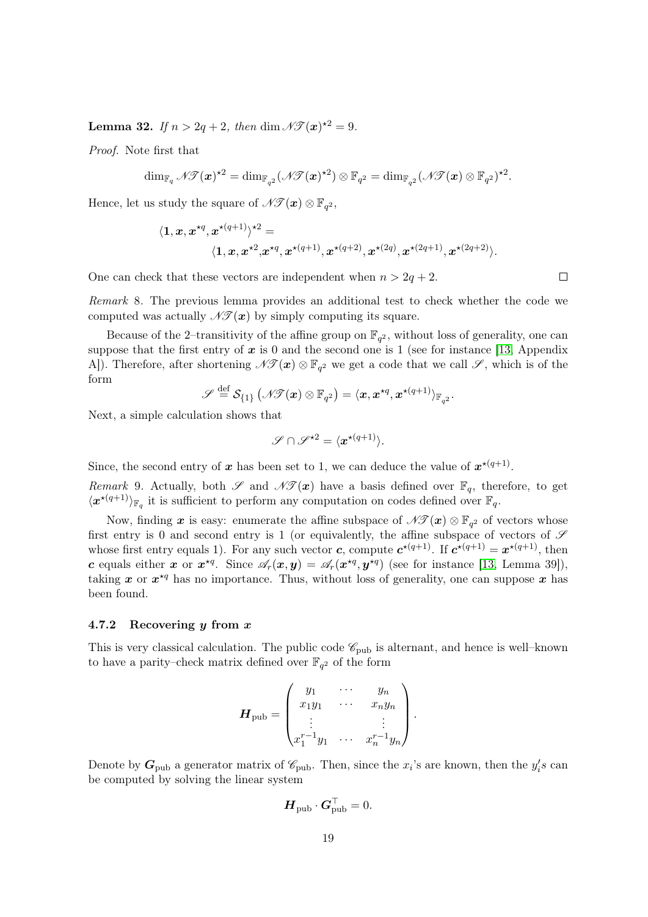**Lemma 32.** If  $n > 2q + 2$ , then dim  $\mathscr{N}\mathscr{T}(\boldsymbol{x})^{\star 2} = 9$ .

Proof. Note first that

$$
\dim_{\mathbb{F}_{q}} \mathscr{N}\!\mathscr{T}(\boldsymbol{x})^{\star 2}=\dim_{\mathbb{F}_{q^2}}(\mathscr{N}\!\mathscr{T}(\boldsymbol{x})^{\star 2})\otimes \mathbb{F}_{q^2}=\dim_{\mathbb{F}_{q^2}}(\mathscr{N}\!\mathscr{T}(\boldsymbol{x})\otimes \mathbb{F}_{q^2})^{\star 2}.
$$

Hence, let us study the square of  $\mathscr{N} \mathscr{T}(\boldsymbol{x}) \otimes \mathbb{F}_{q^2}$ ,

$$
\langle \mathbf{1}, x, x^{\star q}, x^{\star (q+1)} \rangle^{\star 2} = \\ \langle \mathbf{1}, x, x^{\star 2}, x^{\star q}, x^{\star (q+1)}, x^{\star (q+2)}, x^{\star (2q)}, x^{\star (2q+1)}, x^{\star (2q+2)} \rangle.
$$

One can check that these vectors are independent when  $n > 2q + 2$ .

Remark 8. The previous lemma provides an additional test to check whether the code we computed was actually  $\mathscr{N}(\boldsymbol{x})$  by simply computing its square.

Because of the 2-transitivity of the affine group on  $\mathbb{F}_{q^2}$ , without loss of generality, one can suppose that the first entry of  $x$  is 0 and the second one is 1 (see for instance [\[13,](#page-23-4) Appendix A]). Therefore, after shortening  $\mathscr{N}(\bm{x}) \otimes \mathbb{F}_{q^2}$  we get a code that we call  $\mathscr{S}$ , which is of the form

$$
\mathscr{S} \stackrel{\mathrm{def}}{=} \mathcal{S}_{\{1\}}\left(\mathscr{N\!I}(\bm{x})\otimes \mathbb{F}_{q^2}\right) = \langle \bm{x}, \bm{x}^{\star q}, \bm{x}^{\star (q+1)}\rangle_{\mathbb{F}_{q^2}}.
$$

Next, a simple calculation shows that

$$
\mathscr{S}\cap \mathscr{S}^{\star 2}=\langle \boldsymbol{x}^{\star (q+1)}\rangle.
$$

Since, the second entry of x has been set to 1, we can deduce the value of  $x^{*(q+1)}$ .

<span id="page-18-0"></span>Remark 9. Actually, both  $\mathscr{S}$  and  $\mathscr{N}(\mathbf{x})$  have a basis defined over  $\mathbb{F}_q$ , therefore, to get  $\langle \boldsymbol{x}^{*(q+1)} \rangle_{\mathbb{F}_q}$  it is sufficient to perform any computation on codes defined over  $\mathbb{F}_q$ .

Now, finding  $x$  is easy: enumerate the affine subspace of  $\mathscr{N}(\mathscr{T}(x) \otimes \mathbb{F}_{q^2})$  of vectors whose first entry is 0 and second entry is 1 (or equivalently, the affine subspace of vectors of  $\mathscr S$ whose first entry equals 1). For any such vector c, compute  $c^{*(q+1)}$ . If  $c^{*(q+1)} = x^{*(q+1)}$ , then c equals either x or  $x^{*q}$ . Since  $\mathscr{A}_r(x,y) = \mathscr{A}_r(x^{*q},y^{*q})$  (see for instance [\[13,](#page-23-4) Lemma 39]), taking x or  $x^{*q}$  has no importance. Thus, without loss of generality, one can suppose x has been found.

### 4.7.2 Recovering  $y$  from  $x$

This is very classical calculation. The public code  $\mathscr{C}_{\text{pub}}$  is alternant, and hence is well–known to have a parity–check matrix defined over  $\mathbb{F}_{q^2}$  of the form

$$
\boldsymbol{H}_{\text{pub}} = \begin{pmatrix} y_1 & \cdots & y_n \\ x_1 y_1 & \cdots & x_n y_n \\ \vdots & & \vdots \\ x_1^{r-1} y_1 & \cdots & x_n^{r-1} y_n \end{pmatrix}.
$$

Denote by  $G_{\text{pub}}$  a generator matrix of  $\mathscr{C}_{\text{pub}}$ . Then, since the  $x_i$ 's are known, then the  $y_i's$  can be computed by solving the linear system

$$
\boldsymbol{H}_{\text{pub}} \cdot \boldsymbol{G}_{\text{pub}}^\top = 0.
$$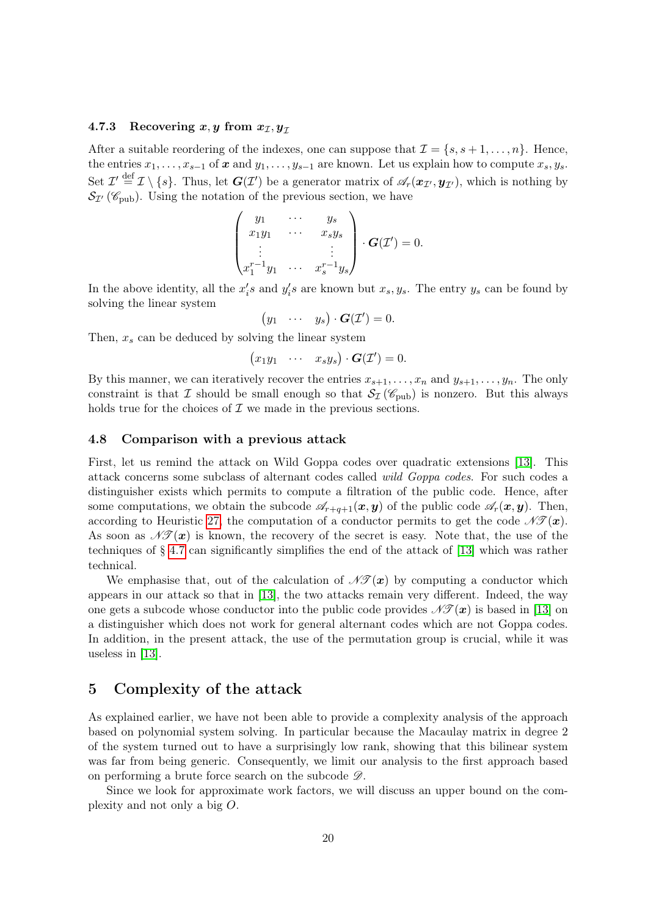#### 4.7.3 Recovering x, y from  $x_{\mathcal{I}}, y_{\mathcal{I}}$

After a suitable reordering of the indexes, one can suppose that  $\mathcal{I} = \{s, s+1, \ldots, n\}$ . Hence, the entries  $x_1, \ldots, x_{s-1}$  of  $x$  and  $y_1, \ldots, y_{s-1}$  are known. Let us explain how to compute  $x_s, y_s$ . Set  $\mathcal{I}' \stackrel{\text{def}}{=} \mathcal{I} \setminus \{s\}.$  Thus, let  $G(\mathcal{I}')$  be a generator matrix of  $\mathscr{A}_r(\boldsymbol{x}_{\mathcal{I}'}, \boldsymbol{y}_{\mathcal{I}'})$ , which is nothing by  $\mathcal{S}_{\mathcal{I}}(\mathscr{C}_{\text{pub}})$ . Using the notation of the previous section, we have

$$
\begin{pmatrix} y_1 & \cdots & y_s \\ x_1y_1 & \cdots & x_sy_s \\ \vdots & & \vdots \\ x_1^{r-1}y_1 & \cdots & x_s^{r-1}y_s \end{pmatrix} \cdot \mathbf{G}(\mathcal{I}') = 0.
$$

In the above identity, all the  $x_i$ 's and  $y_i$ 's are known but  $x_s, y_s$ . The entry  $y_s$  can be found by solving the linear system

$$
(y_1 \cdots y_s) \cdot G(\mathcal{I}') = 0.
$$

Then,  $x_s$  can be deduced by solving the linear system

$$
(x_1y_1 \cdots x_sy_s)\cdot G(\mathcal{I}')=0.
$$

By this manner, we can iteratively recover the entries  $x_{s+1}, \ldots, x_n$  and  $y_{s+1}, \ldots, y_n$ . The only constraint is that I should be small enough so that  $S_{\mathcal{I}}(\mathscr{C}_{\text{pub}})$  is nonzero. But this always holds true for the choices of  $\mathcal I$  we made in the previous sections.

# 4.8 Comparison with a previous attack

First, let us remind the attack on Wild Goppa codes over quadratic extensions [\[13\]](#page-23-4). This attack concerns some subclass of alternant codes called wild Goppa codes. For such codes a distinguisher exists which permits to compute a filtration of the public code. Hence, after some computations, we obtain the subcode  $\mathscr{A}_{r+q+1}(x, y)$  of the public code  $\mathscr{A}_r(x, y)$ . Then, according to Heuristic [27,](#page-11-4) the computation of a conductor permits to get the code  $\mathscr{N}(\bm{x})$ . As soon as  $\mathscr{N}(\mathbf{x})$  is known, the recovery of the secret is easy. Note that, the use of the techniques of § [4.7](#page-17-0) can significantly simplifies the end of the attack of [\[13\]](#page-23-4) which was rather technical.

We emphasise that, out of the calculation of  $\mathscr{N}(\mathbf{x})$  by computing a conductor which appears in our attack so that in [\[13\]](#page-23-4), the two attacks remain very different. Indeed, the way one gets a subcode whose conductor into the public code provides  $\mathcal{N}(\mathbf{x})$  is based in [\[13\]](#page-23-4) on a distinguisher which does not work for general alternant codes which are not Goppa codes. In addition, in the present attack, the use of the permutation group is crucial, while it was useless in [\[13\]](#page-23-4).

# <span id="page-19-0"></span>5 Complexity of the attack

As explained earlier, we have not been able to provide a complexity analysis of the approach based on polynomial system solving. In particular because the Macaulay matrix in degree 2 of the system turned out to have a surprisingly low rank, showing that this bilinear system was far from being generic. Consequently, we limit our analysis to the first approach based on performing a brute force search on the subcode  $\mathscr{D}$ .

Since we look for approximate work factors, we will discuss an upper bound on the complexity and not only a big O.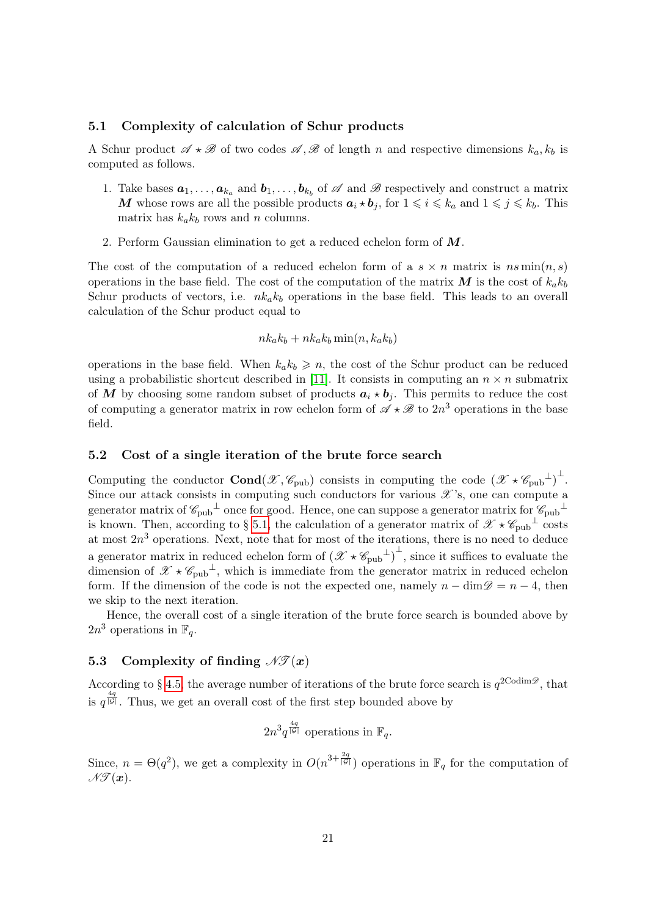# <span id="page-20-0"></span>5.1 Complexity of calculation of Schur products

A Schur product  $\mathscr{A} \star \mathscr{B}$  of two codes  $\mathscr{A}, \mathscr{B}$  of length n and respective dimensions  $k_a, k_b$  is computed as follows.

- 1. Take bases  $a_1, \ldots, a_{k_a}$  and  $b_1, \ldots, b_{k_b}$  of  $\mathscr A$  and  $\mathscr B$  respectively and construct a matrix M whose rows are all the possible products  $a_i \star b_j$ , for  $1 \leq i \leq k_a$  and  $1 \leq j \leq k_b$ . This matrix has  $k_a k_b$  rows and n columns.
- 2. Perform Gaussian elimination to get a reduced echelon form of M.

The cost of the computation of a reduced echelon form of a  $s \times n$  matrix is  $ns \min(n, s)$ operations in the base field. The cost of the computation of the matrix M is the cost of  $k_{a}k_{b}$ Schur products of vectors, i.e.  $nk_ak_b$  operations in the base field. This leads to an overall calculation of the Schur product equal to

$$
nk_a k_b + nk_a k_b \min(n, k_a k_b)
$$

operations in the base field. When  $k_a k_b \geq n$ , the cost of the Schur product can be reduced using a probabilistic shortcut described in [\[11\]](#page-23-8). It consists in computing an  $n \times n$  submatrix of M by choosing some random subset of products  $a_i \star b_j$ . This permits to reduce the cost of computing a generator matrix in row echelon form of  $\mathscr{A} \star \mathscr{B}$  to  $2n^3$  operations in the base field.

#### 5.2 Cost of a single iteration of the brute force search

Computing the conductor  $\text{Cond}(\mathscr{X}, \mathscr{C}_{\text{pub}})$  consists in computing the code  $(\mathscr{X} \star \mathscr{C}_{\text{pub}})$ <sup> $\perp$ </sup>. Since our attack consists in computing such conductors for various  $\mathscr{X}$ 's, one can compute a generator matrix of  $\mathscr{C}_{\text{pub}}^{\perp}$  once for good. Hence, one can suppose a generator matrix for  $\mathscr{C}_{\text{pub}}^{\perp}$ is known. Then, according to § [5.1,](#page-20-0) the calculation of a generator matrix of  $\mathscr{X} \star \mathscr{C}_{\text{pub}}^{\perp}$  costs at most  $2n<sup>3</sup>$  operations. Next, note that for most of the iterations, there is no need to deduce a generator matrix in reduced echelon form of  $(\mathscr{X} \star \mathscr{C}_{\text{pub}}^{\perp})^{\perp}$ , since it suffices to evaluate the dimension of  $\mathscr{X} \star \mathscr{C}_{\text{pub}}^{\perp}$ , which is immediate from the generator matrix in reduced echelon form. If the dimension of the code is not the expected one, namely  $n - \dim \mathscr{D} = n - 4$ , then we skip to the next iteration.

Hence, the overall cost of a single iteration of the brute force search is bounded above by  $2n^3$  operations in  $\mathbb{F}_q$ .

# 5.3 Complexity of finding  $\mathscr{N}(\mathcal{X})$

According to § [4.5,](#page-15-1) the average number of iterations of the brute force search is  $q^{2\text{Codim}\mathcal{D}}$ , that is  $q^{\frac{4q}{|\mathcal{G}|}}$ . Thus, we get an overall cost of the first step bounded above by

 $2n^3q^{\frac{4q}{|\mathcal{G}|}}$  operations in  $\mathbb{F}_q$ .

Since,  $n = \Theta(q^2)$ , we get a complexity in  $O(n^{3 + \frac{2q}{|G|}})$  operations in  $\mathbb{F}_q$  for the computation of  $\mathscr{N}(\bm{x})$ .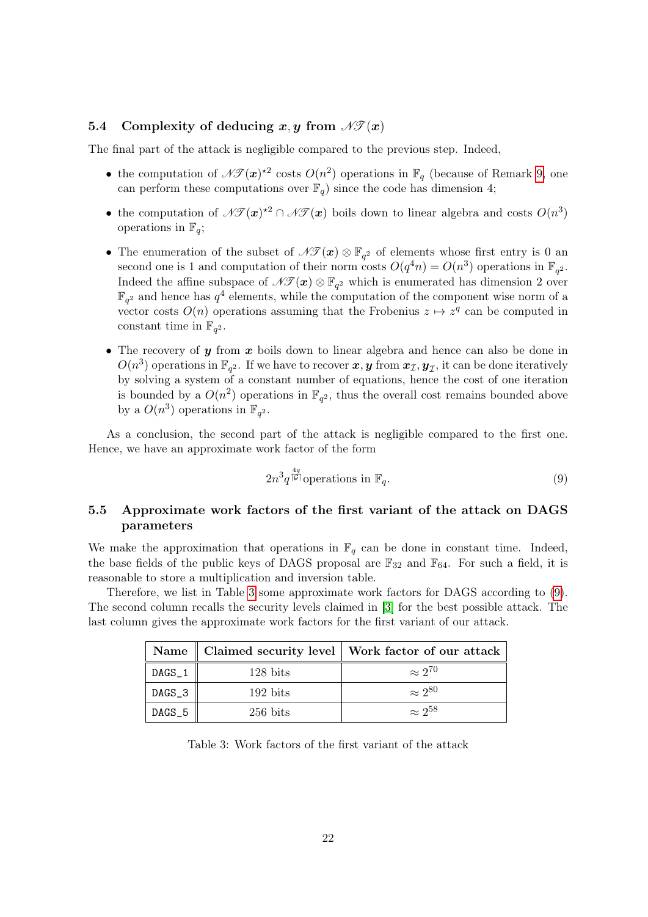# 5.4 Complexity of deducing x, y from  $\mathscr{N}(\mathbf{x})$

The final part of the attack is negligible compared to the previous step. Indeed,

- the computation of  $\mathscr{N}(\bm{x})^{\star 2}$  costs  $O(n^2)$  operations in  $\mathbb{F}_q$  (because of Remark [9,](#page-18-0) one can perform these computations over  $\mathbb{F}_q$ ) since the code has dimension 4;
- the computation of  $\mathscr{N}(\bm{x})^{\star 2} \cap \mathscr{N}(\bm{x})$  boils down to linear algebra and costs  $O(n^3)$ operations in  $\mathbb{F}_q$ ;
- The enumeration of the subset of  $\mathscr{N}(\bm{x}) \otimes \mathbb{F}_{q^2}$  of elements whose first entry is 0 and second one is 1 and computation of their norm costs  $O(q^4n) = O(n^3)$  operations in  $\mathbb{F}_{q^2}$ . Indeed the affine subspace of  $\mathscr{N}(\bm{x}) \otimes \mathbb{F}_{q^2}$  which is enumerated has dimension 2 over  $\mathbb{F}_{q^2}$  and hence has  $q^4$  elements, while the computation of the component wise norm of a vector costs  $O(n)$  operations assuming that the Frobenius  $z \mapsto z^q$  can be computed in constant time in  $\mathbb{F}_{q^2}$ .
- The recovery of y from x boils down to linear algebra and hence can also be done in  $O(n^3)$  operations in  $\mathbb{F}_{q^2}$ . If we have to recover  $\bm{x}, \bm{y}$  from  $\bm{x}_{\mathcal{I}}, \bm{y}_{\mathcal{I}},$  it can be done iteratively by solving a system of a constant number of equations, hence the cost of one iteration is bounded by a  $O(n^2)$  operations in  $\mathbb{F}_{q^2}$ , thus the overall cost remains bounded above by a  $O(n^3)$  operations in  $\mathbb{F}_{q^2}$ .

As a conclusion, the second part of the attack is negligible compared to the first one. Hence, we have an approximate work factor of the form

<span id="page-21-1"></span>
$$
2n^3q^{\frac{4q}{|\mathcal{G}|}}\text{operations in }\mathbb{F}_q. \tag{9}
$$

# 5.5 Approximate work factors of the first variant of the attack on DAGS parameters

We make the approximation that operations in  $\mathbb{F}_q$  can be done in constant time. Indeed, the base fields of the public keys of DAGS proposal are  $\mathbb{F}_{32}$  and  $\mathbb{F}_{64}$ . For such a field, it is reasonable to store a multiplication and inversion table.

Therefore, we list in Table [3](#page-21-0) some approximate work factors for DAGS according to [\(9\)](#page-21-1). The second column recalls the security levels claimed in [\[3\]](#page-22-2) for the best possible attack. The last column gives the approximate work factors for the first variant of our attack.

|        |                    | Name    Claimed security level   Work factor of our attack |
|--------|--------------------|------------------------------------------------------------|
| DAGS_1 | $128 \text{ bits}$ | $\approx 2^{70}$                                           |
| DAGS_3 | $192 \text{ bits}$ | $\approx 2^{80}$                                           |
| DAGS_5 | $256 \text{ bits}$ | $\approx 2^{58}$                                           |

<span id="page-21-0"></span>Table 3: Work factors of the first variant of the attack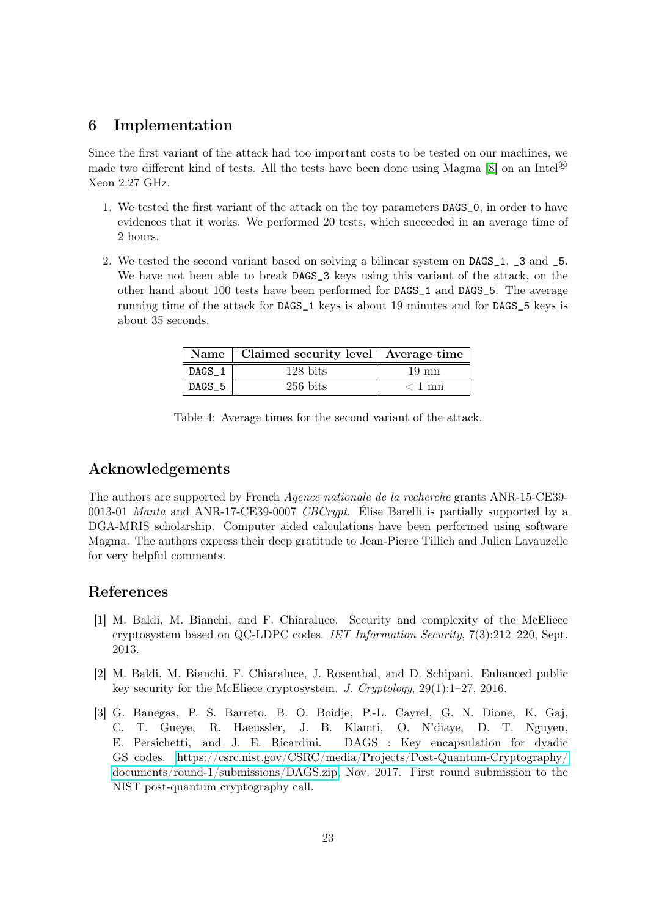# <span id="page-22-3"></span>6 Implementation

Since the first variant of the attack had too important costs to be tested on our machines, we made two different kind of tests. All the tests have been done using Magma [\[8\]](#page-23-7) on an Intel<sup>®</sup> Xeon 2.27 GHz.

- 1. We tested the first variant of the attack on the toy parameters DAGS\_0, in order to have evidences that it works. We performed 20 tests, which succeeded in an average time of 2 hours.
- 2. We tested the second variant based on solving a bilinear system on DAGS\_1, \_3 and \_5. We have not been able to break DAGS\_3 keys using this variant of the attack, on the other hand about 100 tests have been performed for DAGS\_1 and DAGS\_5. The average running time of the attack for DAGS\_1 keys is about 19 minutes and for DAGS\_5 keys is about 35 seconds.

|          | Name    Claimed security level   Average time |          |
|----------|-----------------------------------------------|----------|
| $DAGS_1$ | $128 \text{ bits}$                            | 19 mn    |
| $DAGS_5$ | $256$ bits                                    | $< 1$ mn |

Table 4: Average times for the second variant of the attack.

# Acknowledgements

The authors are supported by French Agence nationale de la recherche grants ANR-15-CE39- 0013-01 *Manta* and ANR-17-CE39-0007 *CBCrypt*. Élise Barelli is partially supported by a DGA-MRIS scholarship. Computer aided calculations have been performed using software Magma. The authors express their deep gratitude to Jean-Pierre Tillich and Julien Lavauzelle for very helpful comments.

# References

- <span id="page-22-0"></span>[1] M. Baldi, M. Bianchi, and F. Chiaraluce. Security and complexity of the McEliece cryptosystem based on QC-LDPC codes. IET Information Security, 7(3):212–220, Sept. 2013.
- <span id="page-22-1"></span>[2] M. Baldi, M. Bianchi, F. Chiaraluce, J. Rosenthal, and D. Schipani. Enhanced public key security for the McEliece cryptosystem. J. Cryptology, 29(1):1–27, 2016.
- <span id="page-22-2"></span>[3] G. Banegas, P. S. Barreto, B. O. Boidje, P.-L. Cayrel, G. N. Dione, K. Gaj, C. T. Gueye, R. Haeussler, J. B. Klamti, O. N'diaye, D. T. Nguyen, E. Persichetti, and J. E. Ricardini. DAGS : Key encapsulation for dyadic GS codes. [https://csrc.nist.gov/CSRC/media/Projects/Post-Quantum-Cryptography/](https://csrc.nist.gov/CSRC/media/Projects/Post-Quantum-Cryptography/documents/round-1/submissions/DAGS.zip) [documents/round-1/submissions/DAGS.zip,](https://csrc.nist.gov/CSRC/media/Projects/Post-Quantum-Cryptography/documents/round-1/submissions/DAGS.zip) Nov. 2017. First round submission to the NIST post-quantum cryptography call.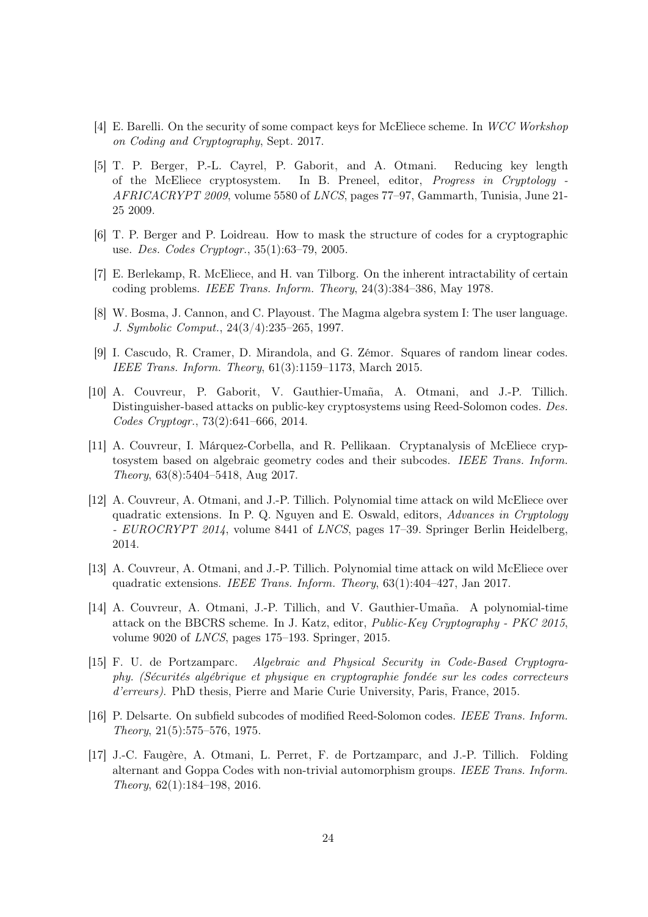- <span id="page-23-11"></span>[4] E. Barelli. On the security of some compact keys for McEliece scheme. In WCC Workshop on Coding and Cryptography, Sept. 2017.
- <span id="page-23-5"></span>[5] T. P. Berger, P.-L. Cayrel, P. Gaborit, and A. Otmani. Reducing key length of the McEliece cryptosystem. In B. Preneel, editor, Progress in Cryptology - AFRICACRYPT 2009, volume 5580 of LNCS, pages 77–97, Gammarth, Tunisia, June 21- 25 2009.
- <span id="page-23-1"></span>[6] T. P. Berger and P. Loidreau. How to mask the structure of codes for a cryptographic use. Des. Codes Cryptogr., 35(1):63–79, 2005.
- <span id="page-23-0"></span>[7] E. Berlekamp, R. McEliece, and H. van Tilborg. On the inherent intractability of certain coding problems. IEEE Trans. Inform. Theory, 24(3):384–386, May 1978.
- <span id="page-23-7"></span>[8] W. Bosma, J. Cannon, and C. Playoust. The Magma algebra system I: The user language. J. Symbolic Comput., 24(3/4):235–265, 1997.
- <span id="page-23-13"></span>[9] I. Cascudo, R. Cramer, D. Mirandola, and G. Zémor. Squares of random linear codes. IEEE Trans. Inform. Theory, 61(3):1159–1173, March 2015.
- <span id="page-23-2"></span>[10] A. Couvreur, P. Gaborit, V. Gauthier-Umaña, A. Otmani, and J.-P. Tillich. Distinguisher-based attacks on public-key cryptosystems using Reed-Solomon codes. Des. Codes Cryptogr., 73(2):641–666, 2014.
- <span id="page-23-8"></span>[11] A. Couvreur, I. Márquez-Corbella, and R. Pellikaan. Cryptanalysis of McEliece cryptosystem based on algebraic geometry codes and their subcodes. IEEE Trans. Inform. Theory, 63(8):5404–5418, Aug 2017.
- <span id="page-23-12"></span>[12] A. Couvreur, A. Otmani, and J.-P. Tillich. Polynomial time attack on wild McEliece over quadratic extensions. In P. Q. Nguyen and E. Oswald, editors, Advances in Cryptology - EUROCRYPT 2014, volume 8441 of LNCS, pages 17-39. Springer Berlin Heidelberg, 2014.
- <span id="page-23-4"></span>[13] A. Couvreur, A. Otmani, and J.-P. Tillich. Polynomial time attack on wild McEliece over quadratic extensions. IEEE Trans. Inform. Theory, 63(1):404–427, Jan 2017.
- <span id="page-23-3"></span>[14] A. Couvreur, A. Otmani, J.-P. Tillich, and V. Gauthier-Umaña. A polynomial-time attack on the BBCRS scheme. In J. Katz, editor, Public-Key Cryptography - PKC 2015, volume 9020 of LNCS, pages 175–193. Springer, 2015.
- <span id="page-23-10"></span>[15] F. U. de Portzamparc. Algebraic and Physical Security in Code-Based Cryptography. (Sécurités algébrique et physique en cryptographie fondée sur les codes correcteurs d'erreurs). PhD thesis, Pierre and Marie Curie University, Paris, France, 2015.
- <span id="page-23-9"></span>[16] P. Delsarte. On subfield subcodes of modified Reed-Solomon codes. IEEE Trans. Inform. Theory, 21(5):575–576, 1975.
- <span id="page-23-6"></span>[17] J.-C. Faugère, A. Otmani, L. Perret, F. de Portzamparc, and J.-P. Tillich. Folding alternant and Goppa Codes with non-trivial automorphism groups. IEEE Trans. Inform. Theory, 62(1):184–198, 2016.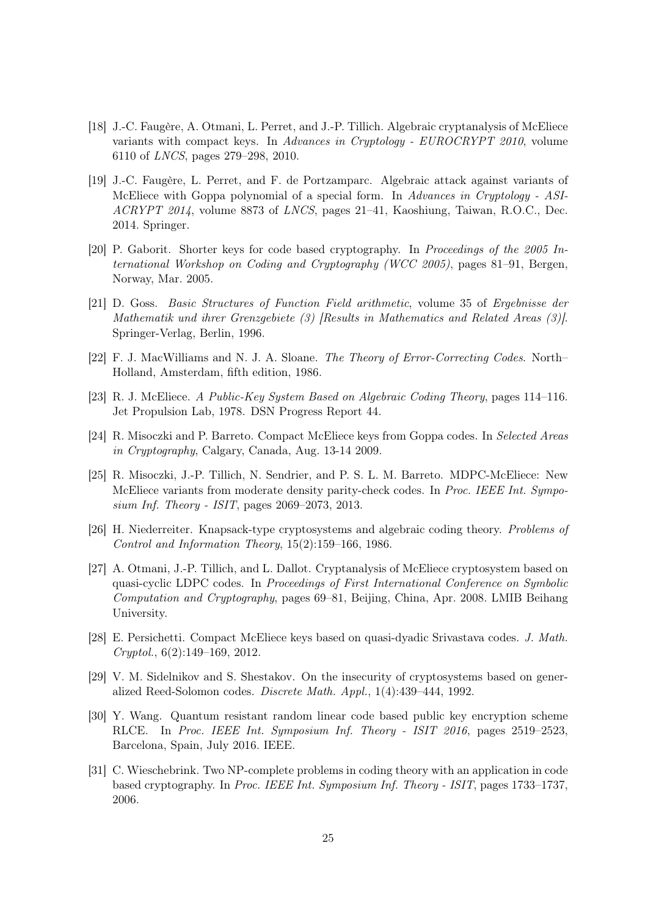- <span id="page-24-11"></span>[18] J.-C. Faugère, A. Otmani, L. Perret, and J.-P. Tillich. Algebraic cryptanalysis of McEliece variants with compact keys. In Advances in Cryptology - EUROCRYPT 2010, volume 6110 of LNCS, pages 279–298, 2010.
- <span id="page-24-6"></span>[19] J.-C. Faugère, L. Perret, and F. de Portzamparc. Algebraic attack against variants of McEliece with Goppa polynomial of a special form. In Advances in Cryptology - ASI-ACRYPT 2014, volume 8873 of LNCS, pages 21–41, Kaoshiung, Taiwan, R.O.C., Dec. 2014. Springer.
- <span id="page-24-7"></span>[20] P. Gaborit. Shorter keys for code based cryptography. In Proceedings of the 2005 International Workshop on Coding and Cryptography (WCC 2005), pages 81–91, Bergen, Norway, Mar. 2005.
- <span id="page-24-13"></span>[21] D. Goss. Basic Structures of Function Field arithmetic, volume 35 of Ergebnisse der Mathematik und ihrer Grenzgebiete (3) [Results in Mathematics and Related Areas (3)]. Springer-Verlag, Berlin, 1996.
- <span id="page-24-12"></span>[22] F. J. MacWilliams and N. J. A. Sloane. The Theory of Error-Correcting Codes. North– Holland, Amsterdam, fifth edition, 1986.
- <span id="page-24-0"></span>[23] R. J. McEliece. A Public-Key System Based on Algebraic Coding Theory, pages 114–116. Jet Propulsion Lab, 1978. DSN Progress Report 44.
- <span id="page-24-8"></span>[24] R. Misoczki and P. Barreto. Compact McEliece keys from Goppa codes. In Selected Areas in Cryptography, Calgary, Canada, Aug. 13-14 2009.
- <span id="page-24-1"></span>[25] R. Misoczki, J.-P. Tillich, N. Sendrier, and P. S. L. M. Barreto. MDPC-McEliece: New McEliece variants from moderate density parity-check codes. In Proc. IEEE Int. Symposium Inf. Theory - ISIT, pages 2069–2073, 2013.
- <span id="page-24-2"></span>[26] H. Niederreiter. Knapsack-type cryptosystems and algebraic coding theory. Problems of Control and Information Theory, 15(2):159–166, 1986.
- <span id="page-24-10"></span>[27] A. Otmani, J.-P. Tillich, and L. Dallot. Cryptanalysis of McEliece cryptosystem based on quasi-cyclic LDPC codes. In Proceedings of First International Conference on Symbolic Computation and Cryptography, pages 69–81, Beijing, China, Apr. 2008. LMIB Beihang University.
- <span id="page-24-9"></span>[28] E. Persichetti. Compact McEliece keys based on quasi-dyadic Srivastava codes. J. Math. Cryptol., 6(2):149–169, 2012.
- <span id="page-24-5"></span>[29] V. M. Sidelnikov and S. Shestakov. On the insecurity of cryptosystems based on generalized Reed-Solomon codes. Discrete Math. Appl., 1(4):439–444, 1992.
- <span id="page-24-4"></span>[30] Y. Wang. Quantum resistant random linear code based public key encryption scheme RLCE. In Proc. IEEE Int. Symposium Inf. Theory - ISIT 2016, pages 2519–2523, Barcelona, Spain, July 2016. IEEE.
- <span id="page-24-3"></span>[31] C. Wieschebrink. Two NP-complete problems in coding theory with an application in code based cryptography. In Proc. IEEE Int. Symposium Inf. Theory - ISIT, pages 1733–1737, 2006.